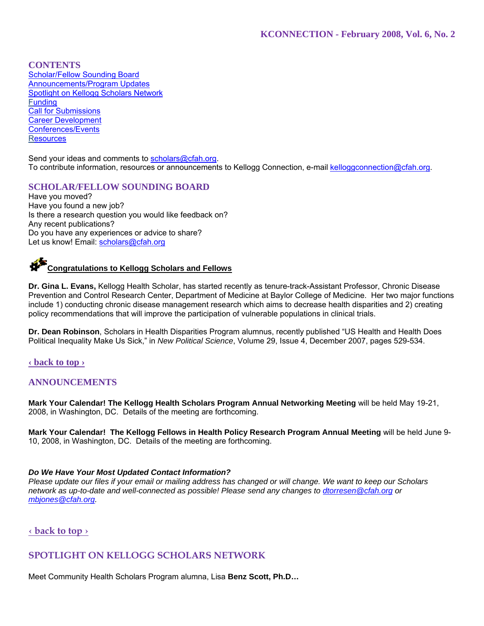# **CONTENTS**

Scholar/Fellow Sounding Board Announcements/Program Updates Spotlight on Kellogg Scholars Network Funding Call for Submissions Career Development Conferences/Events **Resources** 

Send your ideas and comments to scholars@cfah.org. To contribute information, resources or announcements to Kellogg Connection, e-mail kelloggconnection@cfah.org.

# **SCHOLAR/FELLOW SOUNDING BOARD**

Have you moved? Have you found a new job? Is there a research question you would like feedback on? Any recent publications? Do you have any experiences or advice to share? Let us know! Email: scholars@cfah.org

# **Congratulations to Kellogg Scholars and Fellows**

**Dr. Gina L. Evans,** Kellogg Health Scholar, has started recently as tenure-track-Assistant Professor, Chronic Disease Prevention and Control Research Center, Department of Medicine at Baylor College of Medicine. Her two major functions include 1) conducting chronic disease management research which aims to decrease health disparities and 2) creating policy recommendations that will improve the participation of vulnerable populations in clinical trials.

**Dr. Dean Robinson**, Scholars in Health Disparities Program alumnus, recently published "US Health and Health Does Political Inequality Make Us Sick," in *New Political Science*, Volume 29, Issue 4, December 2007, pages 529-534.

### **‹ back to top ›**

### **ANNOUNCEMENTS**

**Mark Your Calendar! The Kellogg Health Scholars Program Annual Networking Meeting** will be held May 19-21, 2008, in Washington, DC. Details of the meeting are forthcoming.

**Mark Your Calendar! The Kellogg Fellows in Health Policy Research Program Annual Meeting** will be held June 9- 10, 2008, in Washington, DC. Details of the meeting are forthcoming.

### *Do We Have Your Most Updated Contact Information?*

*Please update our files if your email or mailing address has changed or will change. We want to keep our Scholars network as up-to-date and well-connected as possible! Please send any changes to dtorresen@cfah.org or mbjones@cfah.org.* 

### **‹ back to top ›**

# **SPOTLIGHT ON KELLOGG SCHOLARS NETWORK**

Meet Community Health Scholars Program alumna, Lisa **Benz Scott, Ph.D…**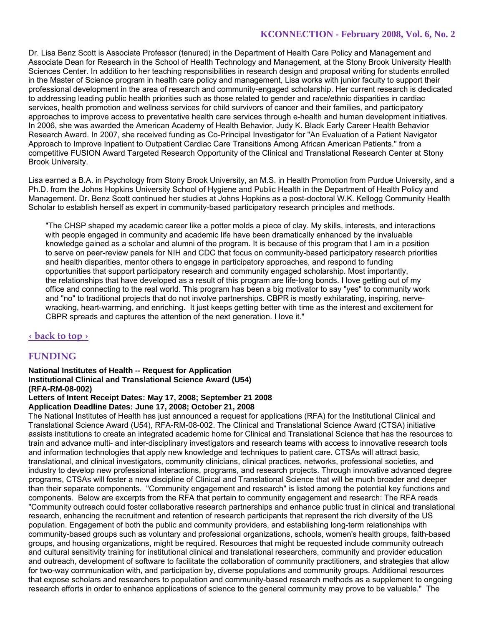Dr. Lisa Benz Scott is Associate Professor (tenured) in the Department of Health Care Policy and Management and Associate Dean for Research in the School of Health Technology and Management, at the Stony Brook University Health Sciences Center. In addition to her teaching responsibilities in research design and proposal writing for students enrolled in the Master of Science program in health care policy and management, Lisa works with junior faculty to support their professional development in the area of research and community-engaged scholarship. Her current research is dedicated to addressing leading public health priorities such as those related to gender and race/ethnic disparities in cardiac services, health promotion and wellness services for child survivors of cancer and their families, and participatory approaches to improve access to preventative health care services through e-health and human development initiatives. In 2006, she was awarded the American Academy of Health Behavior, Judy K. Black Early Career Health Behavior Research Award. In 2007, she received funding as Co-Principal Investigator for "An Evaluation of a Patient Navigator Approach to Improve Inpatient to Outpatient Cardiac Care Transitions Among African American Patients." from a competitive FUSION Award Targeted Research Opportunity of the Clinical and Translational Research Center at Stony Brook University.

Lisa earned a B.A. in Psychology from Stony Brook University, an M.S. in Health Promotion from Purdue University, and a Ph.D. from the Johns Hopkins University School of Hygiene and Public Health in the Department of Health Policy and Management. Dr. Benz Scott continued her studies at Johns Hopkins as a post-doctoral W.K. Kellogg Community Health Scholar to establish herself as expert in community-based participatory research principles and methods.

"The CHSP shaped my academic career like a potter molds a piece of clay. My skills, interests, and interactions with people engaged in community and academic life have been dramatically enhanced by the invaluable knowledge gained as a scholar and alumni of the program. It is because of this program that I am in a position to serve on peer-review panels for NIH and CDC that focus on community-based participatory research priorities and health disparities, mentor others to engage in participatory approaches, and respond to funding opportunities that support participatory research and community engaged scholarship. Most importantly, the relationships that have developed as a result of this program are life-long bonds. I love getting out of my office and connecting to the real world. This program has been a big motivator to say "yes" to community work and "no" to traditional projects that do not involve partnerships. CBPR is mostly exhilarating, inspiring, nervewracking, heart-warming, and enriching. It just keeps getting better with time as the interest and excitement for CBPR spreads and captures the attention of the next generation. I love it."

### **‹ back to top ›**

# **FUNDING**

**National Institutes of Health -- Request for Application Institutional Clinical and Translational Science Award (U54) (RFA-RM-08-002)** 

# **Letters of Intent Receipt Dates: May 17, 2008; September 21 2008**

## **Application Deadline Dates: June 17, 2008; October 21, 2008**

The National Institutes of Health has just announced a request for applications (RFA) for the Institutional Clinical and Translational Science Award (U54), RFA-RM-08-002. The Clinical and Translational Science Award (CTSA) initiative assists institutions to create an integrated academic home for Clinical and Translational Science that has the resources to train and advance multi- and inter-disciplinary investigators and research teams with access to innovative research tools and information technologies that apply new knowledge and techniques to patient care. CTSAs will attract basic, translational, and clinical investigators, community clinicians, clinical practices, networks, professional societies, and industry to develop new professional interactions, programs, and research projects. Through innovative advanced degree programs, CTSAs will foster a new discipline of Clinical and Translational Science that will be much broader and deeper than their separate components. "Community engagement and research" is listed among the potential key functions and components. Below are excerpts from the RFA that pertain to community engagement and research: The RFA reads "Community outreach could foster collaborative research partnerships and enhance public trust in clinical and translational research, enhancing the recruitment and retention of research participants that represent the rich diversity of the US population. Engagement of both the public and community providers, and establishing long-term relationships with community-based groups such as voluntary and professional organizations, schools, women's health groups, faith-based groups, and housing organizations, might be required. Resources that might be requested include community outreach and cultural sensitivity training for institutional clinical and translational researchers, community and provider education and outreach, development of software to facilitate the collaboration of community practitioners, and strategies that allow for two-way communication with, and participation by, diverse populations and community groups. Additional resources that expose scholars and researchers to population and community-based research methods as a supplement to ongoing research efforts in order to enhance applications of science to the general community may prove to be valuable." The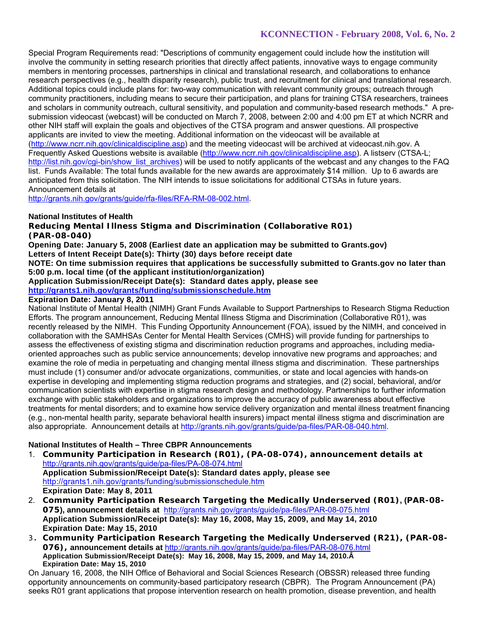Special Program Requirements read: "Descriptions of community engagement could include how the institution will involve the community in setting research priorities that directly affect patients, innovative ways to engage community members in mentoring processes, partnerships in clinical and translational research, and collaborations to enhance research perspectives (e.g., health disparity research), public trust, and recruitment for clinical and translational research. Additional topics could include plans for: two-way communication with relevant community groups; outreach through community practitioners, including means to secure their participation, and plans for training CTSA researchers, trainees and scholars in community outreach, cultural sensitivity, and population and community-based research methods." A presubmission videocast (webcast) will be conducted on March 7, 2008, between 2:00 and 4:00 pm ET at which NCRR and other NIH staff will explain the goals and objectives of the CTSA program and answer questions. All prospective applicants are invited to view the meeting. Additional information on the videocast will be available at (http://www.ncrr.nih.gov/clinicaldiscipline.asp) and the meeting videocast will be archived at videocast.nih.gov. A Frequently Asked Questions website is available (http://www.ncrr.nih.gov/clinicaldiscipline.asp). A listserv (CTSA-L; http://list.nih.gov/cgi-bin/show\_list\_archives) will be used to notify applicants of the webcast and any changes to the FAQ list. Funds Available: The total funds available for the new awards are approximately \$14 million. Up to 6 awards are anticipated from this solicitation. The NIH intends to issue solicitations for additional CTSAs in future years. Announcement details at

http://grants.nih.gov/grants/guide/rfa-files/RFA-RM-08-002.html.

### **National Institutes of Health**

**Reducing Mental Illness Stigma and Discrimination (Collaborative R01) (PAR-08-040)** 

**Opening Date: January 5, 2008 (Earliest date an application may be submitted to Grants.gov) Letters of Intent Receipt Date(s): Thirty (30) days before receipt date** 

**NOTE: On time submission requires that applications be successfully submitted to Grants.gov no later than 5:00 p.m. local time (of the applicant institution/organization)** 

**Application Submission/Receipt Date(s): Standard dates apply, please see** 

**http://grants1.nih.gov/grants/funding/submissionschedule.htm**

# **Expiration Date: January 8, 2011**

National Institute of Mental Health (NIMH) Grant Funds Available to Support Partnerships to Research Stigma Reduction Efforts. The program announcement, Reducing Mental Illness Stigma and Discrimination (Collaborative R01), was recently released by the NIMH. This Funding Opportunity Announcement (FOA), issued by the NIMH, and conceived in collaboration with the SAMHSAs Center for Mental Health Services (CMHS) will provide funding for partnerships to assess the effectiveness of existing stigma and discrimination reduction programs and approaches, including mediaoriented approaches such as public service announcements; develop innovative new programs and approaches; and examine the role of media in perpetuating and changing mental illness stigma and discrimination. These partnerships must include (1) consumer and/or advocate organizations, communities, or state and local agencies with hands-on expertise in developing and implementing stigma reduction programs and strategies, and (2) social, behavioral, and/or communication scientists with expertise in stigma research design and methodology. Partnerships to further information exchange with public stakeholders and organizations to improve the accuracy of public awareness about effective treatments for mental disorders; and to examine how service delivery organization and mental illness treatment financing (e.g., non-mental health parity, separate behavioral health insurers) impact mental illness stigma and discrimination are also appropriate. Announcement details at http://grants.nih.gov/grants/guide/pa-files/PAR-08-040.html.

### **National Institutes of Health – Three CBPR Announcements**

- 1. **Community Participation in Research (R01), (PA-08-074), announcement details at**  http://grants.nih.gov/grants/guide/pa-files/PA-08-074.html **Application Submission/Receipt Date(s): Standard dates apply, please see** http://grants1.nih.gov/grants/funding/submissionschedule.htm **Expiration Date: May 8, 2011**
- 2. **Community Participation Research Targeting the Medically Underserved (R01), (PAR-08- 075), announcement details at** http://grants.nih.gov/grants/guide/pa-files/PAR-08-075.html **Application Submission/Receipt Date(s): May 16, 2008, May 15, 2009, and May 14, 2010 Expiration Date: May 15, 2010**
- 3. **Community Participation Research Targeting the Medically Underserved (R21), (PAR-08- 076), announcement details at** http://grants.nih.gov/grants/guide/pa-files/PAR-08-076.html **Application Submission/Receipt Date(s): May 16, 2008, May 15, 2009, and May 14, 2010. Expiration Date: May 15, 2010**

On January 16, 2008, the NIH Office of Behavioral and Social Sciences Research (OBSSR) released three funding opportunity announcements on community-based participatory research (CBPR). The Program Announcement (PA) seeks R01 grant applications that propose intervention research on health promotion, disease prevention, and health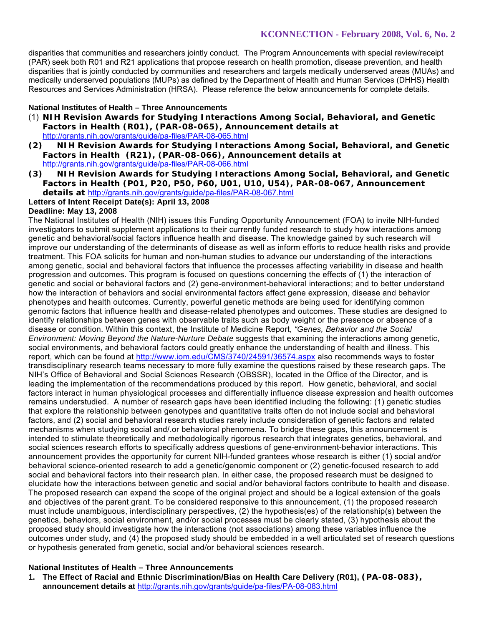disparities that communities and researchers jointly conduct. The Program Announcements with special review/receipt (PAR) seek both R01 and R21 applications that propose research on health promotion, disease prevention, and health disparities that is jointly conducted by communities and researchers and targets medically underserved areas (MUAs) and medically underserved populations (MUPs) as defined by the Department of Health and Human Services (DHHS) Health Resources and Services Administration (HRSA). Please reference the below announcements for complete details.

# **National Institutes of Health – Three Announcements**

- (1) **NIH Revision Awards for Studying Interactions Among Social, Behavioral, and Genetic Factors in Health (R01), (PAR-08-065), Announcement details at**  http://grants.nih.gov/grants/guide/pa-files/PAR-08-065.html
- **(2) NIH Revision Awards for Studying Interactions Among Social, Behavioral, and Genetic Factors in Health (R21), (PAR-08-066), Announcement details at**  http://grants.nih.gov/grants/guide/pa-files/PAR-08-066.html
- **(3) NIH Revision Awards for Studying Interactions Among Social, Behavioral, and Genetic Factors in Health (P01, P20, P50, P60, U01, U10, U54), PAR-08-067, Announcement details at** http://grants.nih.gov/grants/guide/pa-files/PAR-08-067.html

# **Letters of Intent Receipt Date(s): April 13, 2008**

### **Deadline: May 13, 2008**

The National Institutes of Health (NIH) issues this Funding Opportunity Announcement (FOA) to invite NIH-funded investigators to submit supplement applications to their currently funded research to study how interactions among genetic and behavioral/social factors influence health and disease. The knowledge gained by such research will improve our understanding of the determinants of disease as well as inform efforts to reduce health risks and provide treatment. This FOA solicits for human and non-human studies to advance our understanding of the interactions among genetic, social and behavioral factors that influence the processes affecting variability in disease and health progression and outcomes. This program is focused on questions concerning the effects of (1) the interaction of genetic and social or behavioral factors and (2) gene-environment-behavioral interactions; and to better understand how the interaction of behaviors and social environmental factors affect gene expression, disease and behavior phenotypes and health outcomes. Currently, powerful genetic methods are being used for identifying common genomic factors that influence health and disease-related phenotypes and outcomes. These studies are designed to identify relationships between genes with observable traits such as body weight or the presence or absence of a disease or condition. Within this context, the Institute of Medicine Report, *"Genes, Behavior and the Social Environment: Moving Beyond the Nature-Nurture Debate* suggests that examining the interactions among genetic, social environments, and behavioral factors could greatly enhance the understanding of health and illness. This report, which can be found at http://www.iom.edu/CMS/3740/24591/36574.aspx also recommends ways to foster transdisciplinary research teams necessary to more fully examine the questions raised by these research gaps. The NIH's Office of Behavioral and Social Sciences Research (OBSSR), located in the Office of the Director, and is leading the implementation of the recommendations produced by this report. How genetic, behavioral, and social factors interact in human physiological processes and differentially influence disease expression and health outcomes remains understudied. A number of research gaps have been identified including the following: (1) genetic studies that explore the relationship between genotypes and quantitative traits often do not include social and behavioral factors, and (2) social and behavioral research studies rarely include consideration of genetic factors and related mechanisms when studying social and/.or behavioral phenomena. To bridge these gaps, this announcement is intended to stimulate theoretically and methodologically rigorous research that integrates genetics, behavioral, and social sciences research efforts to specifically address questions of gene-environment-behavior interactions. This announcement provides the opportunity for current NIH-funded grantees whose research is either (1) social and/or behavioral science-oriented research to add a genetic/genomic component or (2) genetic-focused research to add social and behavioral factors into their research plan. In either case, the proposed research must be designed to elucidate how the interactions between genetic and social and/or behavioral factors contribute to health and disease. The proposed research can expand the scope of the original project and should be a logical extension of the goals and objectives of the parent grant. To be considered responsive to this announcement, (1) the proposed research must include unambiguous, interdisciplinary perspectives, (2) the hypothesis(es) of the relationship(s) between the genetics, behaviors, social environment, and/or social processes must be clearly stated, (3) hypothesis about the proposed study should investigate how the interactions (not associations) among these variables influence the outcomes under study, and (4) the proposed study should be embedded in a well articulated set of research questions or hypothesis generated from genetic, social and/or behavioral sciences research.

### **National Institutes of Health – Three Announcements**

**1. The Effect of Racial and Ethnic Discrimination/Bias on Health Care Delivery (R01), (PA-08-083), announcement details at** http://grants.nih.gov/grants/guide/pa-files/PA-08-083.html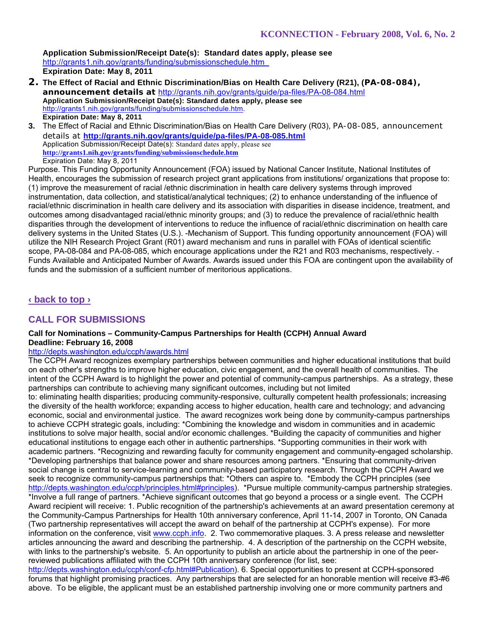**Application Submission/Receipt Date(s): Standard dates apply, please see**  http://grants1.nih.gov/grants/funding/submissionschedule.htm **Expiration Date: May 8, 2011** 

- **2. The Effect of Racial and Ethnic Discrimination/Bias on Health Care Delivery (R21), (PA-08-084), announcement details at** http://grants.nih.gov/grants/guide/pa-files/PA-08-084.html **Application Submission/Receipt Date(s): Standard dates apply, please see** http://grants1.nih.gov/grants/funding/submissionschedule.htm. **Expiration Date: May 8, 2011**
- **3.** The Effect of Racial and Ethnic Discrimination/Bias on Health Care Delivery (R03), PA-08-085, announcement details at **http://grants.nih.gov/grants/guide/pa-files/PA-08-085.html** Application Submission/Receipt Date(s): Standard dates apply, please see **http://grants1.nih.gov/grants/funding/submissionschedule.htm**  Expiration Date: May 8, 2011

Purpose. This Funding Opportunity Announcement (FOA) issued by National Cancer Institute, National Institutes of Health, encourages the submission of research project grant applications from institutions/ organizations that propose to: (1) improve the measurement of racial /ethnic discrimination in health care delivery systems through improved instrumentation, data collection, and statistical/analytical techniques; (2) to enhance understanding of the influence of racial/ethnic discrimination in health care delivery and its association with disparities in disease incidence, treatment, and outcomes among disadvantaged racial/ethnic minority groups; and (3) to reduce the prevalence of racial/ethnic health disparities through the development of interventions to reduce the influence of racial/ethnic discrimination on health care delivery systems in the United States (U.S.). -Mechanism of Support. This funding opportunity announcement (FOA) will utilize the NIH Research Project Grant (R01) award mechanism and runs in parallel with FOAs of identical scientific scope, PA-08-084 and PA-08-085, which encourage applications under the R21 and R03 mechanisms, respectively. - Funds Available and Anticipated Number of Awards. Awards issued under this FOA are contingent upon the availability of funds and the submission of a sufficient number of meritorious applications.

# **‹ back to top ›**

# **CALL FOR SUBMISSIONS**

### **Call for Nominations – Community-Campus Partnerships for Health (CCPH) Annual Award Deadline: February 16, 2008**

# http://depts.washington.edu/ccph/awards.html

The CCPH Award recognizes exemplary partnerships between communities and higher educational institutions that build on each other's strengths to improve higher education, civic engagement, and the overall health of communities. The intent of the CCPH Award is to highlight the power and potential of community-campus partnerships. As a strategy, these partnerships can contribute to achieving many significant outcomes, including but not limited

to: eliminating health disparities; producing community-responsive, culturally competent health professionals; increasing the diversity of the health workforce; expanding access to higher education, health care and technology; and advancing economic, social and environmental justice. The award recognizes work being done by community-campus partnerships to achieve CCPH strategic goals, including: \*Combining the knowledge and wisdom in communities and in academic institutions to solve major health, social and/or economic challenges. \*Building the capacity of communities and higher educational institutions to engage each other in authentic partnerships. \*Supporting communities in their work with academic partners. \*Recognizing and rewarding faculty for community engagement and community-engaged scholarship. \*Developing partnerships that balance power and share resources among partners. \*Ensuring that community-driven social change is central to service-learning and community-based participatory research. Through the CCPH Award we seek to recognize community-campus partnerships that: \*Others can aspire to. \*Embody the CCPH principles (see http://depts.washington.edu/ccph/principles.html#principles). \*Pursue multiple community-campus partnership strategies. \*Involve a full range of partners. \*Achieve significant outcomes that go beyond a process or a single event. The CCPH Award recipient will receive: 1. Public recognition of the partnership's achievements at an award presentation ceremony at the Community-Campus Partnerships for Health 10th anniversary conference, April 11-14, 2007 in Toronto, ON Canada (Two partnership representatives will accept the award on behalf of the partnership at CCPH's expense). For more information on the conference, visit www.ccph.info. 2. Two commemorative plaques. 3. A press release and newsletter articles announcing the award and describing the partnership. 4. A description of the partnership on the CCPH website, with links to the partnership's website. 5. An opportunity to publish an article about the partnership in one of the peerreviewed publications affiliated with the CCPH 10th anniversary conference (for list, see:

http://depts.washington.edu/ccph/conf-cfp.html#Publication). 6. Special opportunities to present at CCPH-sponsored forums that highlight promising practices. Any partnerships that are selected for an honorable mention will receive #3-#6 above. To be eligible, the applicant must be an established partnership involving one or more community partners and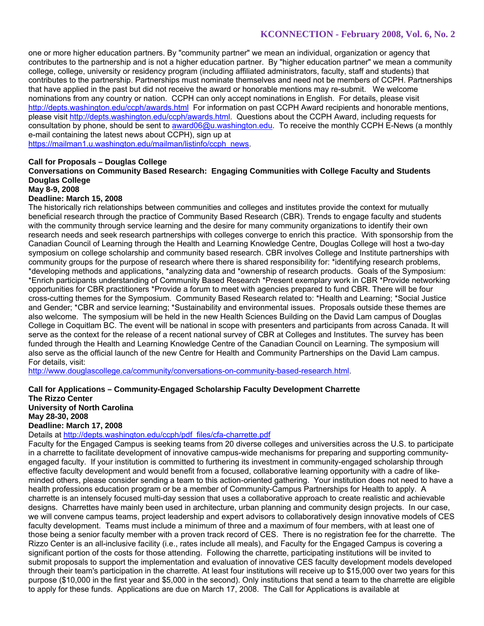one or more higher education partners. By "community partner" we mean an individual, organization or agency that contributes to the partnership and is not a higher education partner. By "higher education partner" we mean a community college, college, university or residency program (including affiliated administrators, faculty, staff and students) that contributes to the partnership. Partnerships must nominate themselves and need not be members of CCPH. Partnerships that have applied in the past but did not receive the award or honorable mentions may re-submit. We welcome nominations from any country or nation. CCPH can only accept nominations in English. For details, please visit http://depts.washington.edu/ccph/awards.html For information on past CCPH Award recipients and honorable mentions, please visit http://depts.washington.edu/ccph/awards.html. Questions about the CCPH Award, including requests for consultation by phone, should be sent to award06@u.washington.edu. To receive the monthly CCPH E-News (a monthly e-mail containing the latest news about CCPH), sign up at https://mailman1.u.washington.edu/mailman/listinfo/ccph\_news.

### **Call for Proposals – Douglas College**

**Conversations on Community Based Research: Engaging Communities with College Faculty and Students Douglas College** 

#### **May 8-9, 2008**

#### **Deadline: March 15, 2008**

The historically rich relationships between communities and colleges and institutes provide the context for mutually beneficial research through the practice of Community Based Research (CBR). Trends to engage faculty and students with the community through service learning and the desire for many community organizations to identify their own research needs and seek research partnerships with colleges converge to enrich this practice. With sponsorship from the Canadian Council of Learning through the Health and Learning Knowledge Centre, Douglas College will host a two-day symposium on college scholarship and community based research. CBR involves College and Institute partnerships with community groups for the purpose of research where there is shared responsibility for: \*identifying research problems, \*developing methods and applications, \*analyzing data and \*ownership of research products. Goals of the Symposium: \*Enrich participants understanding of Community Based Research \*Present exemplary work in CBR \*Provide networking opportunities for CBR practitioners \*Provide a forum to meet with agencies prepared to fund CBR. There will be four cross-cutting themes for the Symposium. Community Based Research related to: \*Health and Learning; \*Social Justice and Gender; \*CBR and service learning; \*Sustainability and environmental issues. Proposals outside these themes are also welcome. The symposium will be held in the new Health Sciences Building on the David Lam campus of Douglas College in Coquitlam BC. The event will be national in scope with presenters and participants from across Canada. It will serve as the context for the release of a recent national survey of CBR at Colleges and Institutes. The survey has been funded through the Health and Learning Knowledge Centre of the Canadian Council on Learning. The symposium will also serve as the official launch of the new Centre for Health and Community Partnerships on the David Lam campus. For details, visit:

http://www.douglascollege.ca/community/conversations-on-community-based-research.html.

### **Call for Applications – Community-Engaged Scholarship Faculty Development Charrette**

**The Rizzo Center University of North Carolina May 28-30, 2008 Deadline: March 17, 2008** 

Details at http://depts.washington.edu/ccph/pdf\_files/cfa-charrette.pdf

Faculty for the Engaged Campus is seeking teams from 20 diverse colleges and universities across the U.S. to participate in a charrette to facilitate development of innovative campus-wide mechanisms for preparing and supporting communityengaged faculty. If your institution is committed to furthering its investment in community-engaged scholarship through effective faculty development and would benefit from a focused, collaborative learning opportunity with a cadre of likeminded others, please consider sending a team to this action-oriented gathering. Your institution does not need to have a health professions education program or be a member of Community-Campus Partnerships for Health to apply. A charrette is an intensely focused multi-day session that uses a collaborative approach to create realistic and achievable designs. Charrettes have mainly been used in architecture, urban planning and community design projects. In our case, we will convene campus teams, project leadership and expert advisors to collaboratively design innovative models of CES faculty development. Teams must include a minimum of three and a maximum of four members, with at least one of those being a senior faculty member with a proven track record of CES. There is no registration fee for the charrette. The Rizzo Center is an all-inclusive facility (i.e., rates include all meals), and Faculty for the Engaged Campus is covering a significant portion of the costs for those attending. Following the charrette, participating institutions will be invited to submit proposals to support the implementation and evaluation of innovative CES faculty development models developed through their team's participation in the charrette. At least four institutions will receive up to \$15,000 over two years for this purpose (\$10,000 in the first year and \$5,000 in the second). Only institutions that send a team to the charrette are eligible to apply for these funds. Applications are due on March 17, 2008. The Call for Applications is available at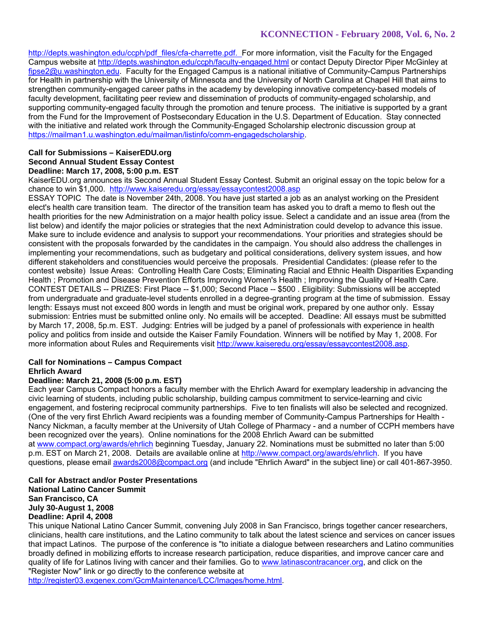http://depts.washington.edu/ccph/pdf\_files/cfa-charrette.pdf. For more information, visit the Faculty for the Engaged Campus website at http://depts.washington.edu/ccph/faculty-engaged.html or contact Deputy Director Piper McGinley at fipse2@u.washington.edu. Faculty for the Engaged Campus is a national initiative of Community-Campus Partnerships for Health in partnership with the University of Minnesota and the University of North Carolina at Chapel Hill that aims to strengthen community-engaged career paths in the academy by developing innovative competency-based models of faculty development, facilitating peer review and dissemination of products of community-engaged scholarship, and supporting community-engaged faculty through the promotion and tenure process. The initiative is supported by a grant from the Fund for the Improvement of Postsecondary Education in the U.S. Department of Education. Stay connected with the initiative and related work through the Community-Engaged Scholarship electronic discussion group at https://mailman1.u.washington.edu/mailman/listinfo/comm-engagedscholarship.

#### **Call for Submissions – KaiserEDU.org Second Annual Student Essay Contest Deadline: March 17, 2008, 5:00 p.m. EST**

KaiserEDU.org announces its Second Annual Student Essay Contest. Submit an original essay on the topic below for a chance to win \$1,000. http://www.kaiseredu.org/essay/essaycontest2008.asp

ESSAY TOPIC The date is November 24th, 2008. You have just started a job as an analyst working on the President elect's health care transition team. The director of the transition team has asked you to draft a memo to flesh out the health priorities for the new Administration on a major health policy issue. Select a candidate and an issue area (from the list below) and identify the major policies or strategies that the next Administration could develop to advance this issue. Make sure to include evidence and analysis to support your recommendations. Your priorities and strategies should be consistent with the proposals forwarded by the candidates in the campaign. You should also address the challenges in implementing your recommendations, such as budgetary and political considerations, delivery system issues, and how different stakeholders and constituencies would perceive the proposals. Presidential Candidates: (please refer to the contest website) Issue Areas: Controlling Health Care Costs; Eliminating Racial and Ethnic Health Disparities Expanding Health ; Promotion and Disease Prevention Efforts Improving Women's Health ; Improving the Quality of Health Care. CONTEST DETAILS -- PRIZES: First Place -- \$1,000; Second Place -- \$500 . Eligibility: Submissions will be accepted from undergraduate and graduate-level students enrolled in a degree-granting program at the time of submission. Essay length: Essays must not exceed 800 words in length and must be original work, prepared by one author only. Essay submission: Entries must be submitted online only. No emails will be accepted. Deadline: All essays must be submitted by March 17, 2008, 5p.m. EST. Judging: Entries will be judged by a panel of professionals with experience in health policy and politics from inside and outside the Kaiser Family Foundation. Winners will be notified by May 1, 2008. For more information about Rules and Requirements visit http://www.kaiseredu.org/essay/essaycontest2008.asp.

#### **Call for Nominations – Campus Compact Ehrlich Award**

### **Deadline: March 21, 2008 (5:00 p.m. EST)**

Each year Campus Compact honors a faculty member with the Ehrlich Award for exemplary leadership in advancing the civic learning of students, including public scholarship, building campus commitment to service-learning and civic engagement, and fostering reciprocal community partnerships. Five to ten finalists will also be selected and recognized. (One of the very first Ehrlich Award recipients was a founding member of Community-Campus Partnerships for Health - Nancy Nickman, a faculty member at the University of Utah College of Pharmacy - and a number of CCPH members have been recognized over the years). Online nominations for the 2008 Ehrlich Award can be submitted at www.compact.org/awards/ehrlich beginning Tuesday, January 22. Nominations must be submitted no later than 5:00 p.m. EST on March 21, 2008. Details are available online at http://www.compact.org/awards/ehrlich. If you have questions, please email awards2008@compact.org (and include "Ehrlich Award" in the subject line) or call 401-867-3950.

### **Call for Abstract and/or Poster Presentations National Latino Cancer Summit San Francisco, CA July 30-August 1, 2008 Deadline: April 4, 2008**

This unique National Latino Cancer Summit, convening July 2008 in San Francisco, brings together cancer researchers, clinicians, health care institutions, and the Latino community to talk about the latest science and services on cancer issues that impact Latinos. The purpose of the conference is "to initiate a dialogue between researchers and Latino communities broadly defined in mobilizing efforts to increase research participation, reduce disparities, and improve cancer care and quality of life for Latinos living with cancer and their families. Go to www.latinascontracancer.org, and click on the "Register Now" link or go directly to the conference website at

http://register03.exgenex.com/GcmMaintenance/LCC/Images/home.html.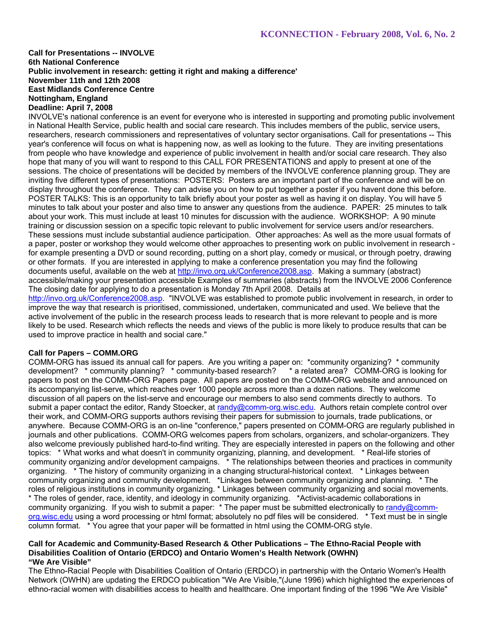### **Call for Presentations -- INVOLVE 6th National Conference Public involvement in research: getting it right and making a difference' November 11th and 12th 2008 East Midlands Conference Centre Nottingham, England Deadline: April 7, 2008**

INVOLVE's national conference is an event for everyone who is interested in supporting and promoting public involvement in National Health Service, public health and social care research. This includes members of the public, service users, researchers, research commissioners and representatives of voluntary sector organisations. Call for presentations -- This year's conference will focus on what is happening now, as well as looking to the future. They are inviting presentations from people who have knowledge and experience of public involvement in health and/or social care research. They also hope that many of you will want to respond to this CALL FOR PRESENTATIONS and apply to present at one of the sessions. The choice of presentations will be decided by members of the INVOLVE conference planning group. They are inviting five different types of presentations: POSTERS: Posters are an important part of the conference and will be on display throughout the conference. They can advise you on how to put together a poster if you havent done this before. POSTER TALKS: This is an opportunity to talk briefly about your poster as well as having it on display. You will have 5 minutes to talk about your poster and also time to answer any questions from the audience. PAPER: 25 minutes to talk about your work. This must include at least 10 minutes for discussion with the audience. WORKSHOP: A 90 minute training or discussion session on a specific topic relevant to public involvement for service users and/or researchers. These sessions must include substantial audience participation. Other approaches: As well as the more usual formats of a paper, poster or workshop they would welcome other approaches to presenting work on public involvement in research for example presenting a DVD or sound recording, putting on a short play, comedy or musical, or through poetry, drawing or other formats. If you are interested in applying to make a conference presentation you may find the following documents useful, available on the web at http://invo.org.uk/Conference2008.asp. Making a summary (abstract) accessible/making your presentation accessible Examples of summaries (abstracts) from the INVOLVE 2006 Conference The closing date for applying to do a presentation is Monday 7th April 2008. Details at http://invo.org.uk/Conference2008.asp. "INVOLVE was established to promote public involvement in research, in order to improve the way that research is prioritised, commissioned, undertaken, communicated and used. We believe that the active involvement of the public in the research process leads to research that is more relevant to people and is more likely to be used. Research which reflects the needs and views of the public is more likely to produce results that can be used to improve practice in health and social care."

### **Call for Papers – COMM.ORG**

COMM-ORG has issued its annual call for papers. Are you writing a paper on: \*community organizing? \* community development? \* community planning? \* community-based research? \* a related area? COMM-ORG is looking for papers to post on the COMM-ORG Papers page. All papers are posted on the COMM-ORG website and announced on its accompanying list-serve, which reaches over 1000 people across more than a dozen nations. They welcome discussion of all papers on the list-serve and encourage our members to also send comments directly to authors. To submit a paper contact the editor, Randy Stoecker, at randy@comm-org.wisc.edu. Authors retain complete control over their work, and COMM-ORG supports authors revising their papers for submission to journals, trade publications, or anywhere. Because COMM-ORG is an on-line "conference," papers presented on COMM-ORG are regularly published in journals and other publications. COMM-ORG welcomes papers from scholars, organizers, and scholar-organizers. They also welcome previously published hard-to-find writing. They are especially interested in papers on the following and other topics: \* What works and what doesn't in community organizing, planning, and development. \* Real-life stories of community organizing and/or development campaigns. \* The relationships between theories and practices in community organizing. \* The history of community organizing in a changing structural-historical context. \* Linkages between community organizing and community development. \*Linkages between community organizing and planning. \* The roles of religious institutions in community organizing. \* Linkages between community organizing and social movements. \* The roles of gender, race, identity, and ideology in community organizing. \*Activist-academic collaborations in community organizing. If you wish to submit a paper: \* The paper must be submitted electronically to randy@commorg.wisc.edu using a word processing or html format; absolutely no pdf files will be considered. \* Text must be in single column format. \* You agree that your paper will be formatted in html using the COMM-ORG style.

#### **Call for Academic and Community-Based Research & Other Publications – The Ethno-Racial People with Disabilities Coalition of Ontario (ERDCO) and Ontario Women's Health Network (OWHN) "We Are Visible"**

The Ethno-Racial People with Disabilities Coalition of Ontario (ERDCO) in partnership with the Ontario Women's Health Network (OWHN) are updating the ERDCO publication "We Are Visible,"(June 1996) which highlighted the experiences of ethno-racial women with disabilities access to health and healthcare. One important finding of the 1996 "We Are Visible"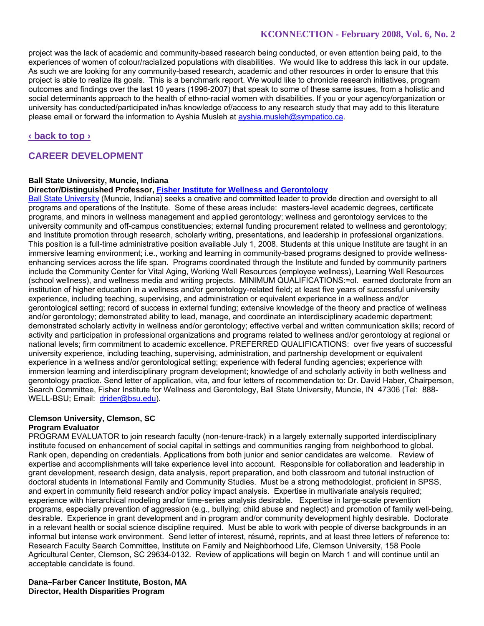project was the lack of academic and community-based research being conducted, or even attention being paid, to the experiences of women of colour/racialized populations with disabilities. We would like to address this lack in our update. As such we are looking for any community-based research, academic and other resources in order to ensure that this project is able to realize its goals. This is a benchmark report. We would like to chronicle research initiatives, program outcomes and findings over the last 10 years (1996-2007) that speak to some of these same issues, from a holistic and social determinants approach to the health of ethno-racial women with disabilities. If you or your agency/organization or university has conducted/participated in/has knowledge of/access to any research study that may add to this literature please email or forward the information to Ayshia Musleh at ayshia.musleh@sympatico.ca.

## **‹ back to top ›**

# **CAREER DEVELOPMENT**

### **Ball State University, Muncie, Indiana**

#### **Director/Distinguished Professor, Fisher Institute for Wellness and Gerontology**

Ball State University (Muncie, Indiana) seeks a creative and committed leader to provide direction and oversight to all programs and operations of the Institute. Some of these areas include: masters-level academic degrees, certificate programs, and minors in wellness management and applied gerontology; wellness and gerontology services to the university community and off-campus constituencies; external funding procurement related to wellness and gerontology; and Institute promotion through research, scholarly writing, presentations, and leadership in professional organizations. This position is a full-time administrative position available July 1, 2008. Students at this unique Institute are taught in an immersive learning environment; i.e., working and learning in community-based programs designed to provide wellnessenhancing services across the life span. Programs coordinated through the Institute and funded by community partners include the Community Center for Vital Aging, Working Well Resources (employee wellness), Learning Well Resources (school wellness), and wellness media and writing projects. MINIMUM QUALIFICATIONS:=ol. earned doctorate from an institution of higher education in a wellness and/or gerontology-related field; at least five years of successful university experience, including teaching, supervising, and administration or equivalent experience in a wellness and/or gerontological setting; record of success in external funding; extensive knowledge of the theory and practice of wellness and/or gerontology; demonstrated ability to lead, manage, and coordinate an interdisciplinary academic department; demonstrated scholarly activity in wellness and/or gerontology; effective verbal and written communication skills; record of activity and participation in professional organizations and programs related to wellness and/or gerontology at regional or national levels; firm commitment to academic excellence. PREFERRED QUALIFICATIONS: over five years of successful university experience, including teaching, supervising, administration, and partnership development or equivalent experience in a wellness and/or gerontological setting; experience with federal funding agencies; experience with immersion learning and interdisciplinary program development; knowledge of and scholarly activity in both wellness and gerontology practice. Send letter of application, vita, and four letters of recommendation to: Dr. David Haber, Chairperson, Search Committee, Fisher Institute for Wellness and Gerontology, Ball State University, Muncie, IN 47306 (Tel: 888- WELL-BSU; Email: drider@bsu.edu).

# **Clemson University, Clemson, SC**

### **Program Evaluator**

PROGRAM EVALUATOR to join research faculty (non-tenure-track) in a largely externally supported interdisciplinary institute focused on enhancement of social capital in settings and communities ranging from neighborhood to global. Rank open, depending on credentials. Applications from both junior and senior candidates are welcome. Review of expertise and accomplishments will take experience level into account. Responsible for collaboration and leadership in grant development, research design, data analysis, report preparation, and both classroom and tutorial instruction of doctoral students in International Family and Community Studies. Must be a strong methodologist, proficient in SPSS, and expert in community field research and/or policy impact analysis. Expertise in multivariate analysis required; experience with hierarchical modeling and/or time-series analysis desirable. Expertise in large-scale prevention programs, especially prevention of aggression (e.g., bullying; child abuse and neglect) and promotion of family well-being, desirable. Experience in grant development and in program and/or community development highly desirable. Doctorate in a relevant health or social science discipline required. Must be able to work with people of diverse backgrounds in an informal but intense work environment. Send letter of interest, résumé, reprints, and at least three letters of reference to: Research Faculty Search Committee, Institute on Family and Neighborhood Life, Clemson University, 158 Poole Agricultural Center, Clemson, SC 29634-0132. Review of applications will begin on March 1 and will continue until an acceptable candidate is found.

**Dana–Farber Cancer Institute, Boston, MA Director, Health Disparities Program**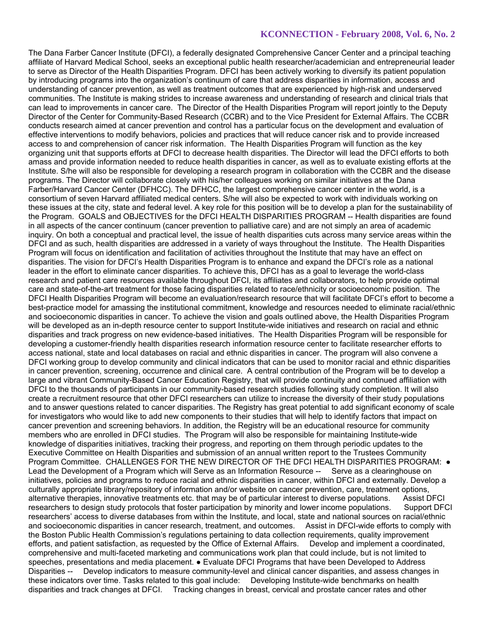The Dana Farber Cancer Institute (DFCI), a federally designated Comprehensive Cancer Center and a principal teaching affiliate of Harvard Medical School, seeks an exceptional public health researcher/academician and entrepreneurial leader to serve as Director of the Health Disparities Program. DFCI has been actively working to diversify its patient population by introducing programs into the organization's continuum of care that address disparities in information, access and understanding of cancer prevention, as well as treatment outcomes that are experienced by high-risk and underserved communities. The Institute is making strides to increase awareness and understanding of research and clinical trials that can lead to improvements in cancer care. The Director of the Health Disparities Program will report jointly to the Deputy Director of the Center for Community-Based Research (CCBR) and to the Vice President for External Affairs. The CCBR conducts research aimed at cancer prevention and control has a particular focus on the development and evaluation of effective interventions to modify behaviors, policies and practices that will reduce cancer risk and to provide increased access to and comprehension of cancer risk information. The Health Disparities Program will function as the key organizing unit that supports efforts at DFCI to decrease health disparities. The Director will lead the DFCI efforts to both amass and provide information needed to reduce health disparities in cancer, as well as to evaluate existing efforts at the Institute. S/he will also be responsible for developing a research program in collaboration with the CCBR and the disease programs. The Director will collaborate closely with his/her colleagues working on similar initiatives at the Dana Farber/Harvard Cancer Center (DFHCC). The DFHCC, the largest comprehensive cancer center in the world, is a consortium of seven Harvard affiliated medical centers. S/he will also be expected to work with individuals working on these issues at the city, state and federal level. A key role for this position will be to develop a plan for the sustainability of the Program. GOALS and OBJECTIVES for the DFCI HEALTH DISPARITIES PROGRAM -- Health disparities are found in all aspects of the cancer continuum (cancer prevention to palliative care) and are not simply an area of academic inquiry. On both a conceptual and practical level, the issue of health disparities cuts across many service areas within the DFCI and as such, health disparities are addressed in a variety of ways throughout the Institute. The Health Disparities Program will focus on identification and facilitation of activities throughout the Institute that may have an effect on disparities. The vision for DFCI's Health Disparities Program is to enhance and expand the DFCI's role as a national leader in the effort to eliminate cancer disparities. To achieve this, DFCI has as a goal to leverage the world-class research and patient care resources available throughout DFCI, its affiliates and collaborators, to help provide optimal care and state-of-the-art treatment for those facing disparities related to race/ethnicity or socioeconomic position. The DFCI Health Disparities Program will become an evaluation/research resource that will facilitate DFCI's effort to become a best-practice model for amassing the institutional commitment, knowledge and resources needed to eliminate racial/ethnic and socioeconomic disparities in cancer. To achieve the vision and goals outlined above, the Health Disparities Program will be developed as an in-depth resource center to support Institute-wide initiatives and research on racial and ethnic disparities and track progress on new evidence-based initiatives. The Health Disparities Program will be responsible for developing a customer-friendly health disparities research information resource center to facilitate researcher efforts to access national, state and local databases on racial and ethnic disparities in cancer. The program will also convene a DFCI working group to develop community and clinical indicators that can be used to monitor racial and ethnic disparities in cancer prevention, screening, occurrence and clinical care. A central contribution of the Program will be to develop a large and vibrant Community-Based Cancer Education Registry, that will provide continuity and continued affiliation with DFCI to the thousands of participants in our community-based research studies following study completion. It will also create a recruitment resource that other DFCI researchers can utilize to increase the diversity of their study populations and to answer questions related to cancer disparities. The Registry has great potential to add significant economy of scale for investigators who would like to add new components to their studies that will help to identify factors that impact on cancer prevention and screening behaviors. In addition, the Registry will be an educational resource for community members who are enrolled in DFCI studies. The Program will also be responsible for maintaining Institute-wide knowledge of disparities initiatives, tracking their progress, and reporting on them through periodic updates to the Executive Committee on Health Disparities and submission of an annual written report to the Trustees Community Program Committee. CHALLENGES FOR THE NEW DIRECTOR OF THE DFCI HEALTH DISPARITIES PROGRAM: ● Lead the Development of a Program which will Serve as an Information Resource -- Serve as a clearinghouse on initiatives, policies and programs to reduce racial and ethnic disparities in cancer, within DFCI and externally. Develop a culturally appropriate library/repository of information and/or website on cancer prevention, care, treatment options, alternative therapies, innovative treatments etc. that may be of particular interest to diverse populations. Assist DFCI researchers to design study protocols that foster participation by minority and lower income populations. Support DFCI researchers' access to diverse databases from within the Institute, and local, state and national sources on racial/ethnic and socioeconomic disparities in cancer research, treatment, and outcomes. Assist in DFCI-wide efforts to comply with the Boston Public Health Commission's regulations pertaining to data collection requirements, quality improvement efforts, and patient satisfaction, as requested by the Office of External Affairs. Develop and implement a coordinated, comprehensive and multi-faceted marketing and communications work plan that could include, but is not limited to speeches, presentations and media placement. ● Evaluate DFCI Programs that have been Developed to Address Disparities -- Develop indicators to measure community-level and clinical cancer disparities, and assess changes in these indicators over time. Tasks related to this goal include: Developing Institute-wide benchmarks on health disparities and track changes at DFCI. Tracking changes in breast, cervical and prostate cancer rates and other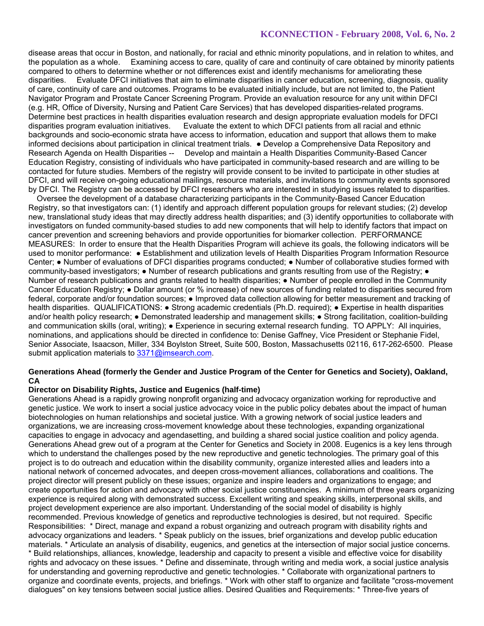disease areas that occur in Boston, and nationally, for racial and ethnic minority populations, and in relation to whites, and the population as a whole. Examining access to care, quality of care and continuity of care obtained by minority patients compared to others to determine whether or not differences exist and identify mechanisms for ameliorating these disparities. Evaluate DFCI initiatives that aim to eliminate disparities in cancer education, screening, diagnosis, quality of care, continuity of care and outcomes. Programs to be evaluated initially include, but are not limited to, the Patient Navigator Program and Prostate Cancer Screening Program. Provide an evaluation resource for any unit within DFCI (e.g. HR, Office of Diversity, Nursing and Patient Care Services) that has developed disparities-related programs. Determine best practices in health disparities evaluation research and design appropriate evaluation models for DFCI disparities program evaluation initiatives. Evaluate the extent to which DFCI patients from all racial an Evaluate the extent to which DFCI patients from all racial and ethnic backgrounds and socio-economic strata have access to information, education and support that allows them to make informed decisions about participation in clinical treatment trials. ● Develop a Comprehensive Data Repository and Research Agenda on Health Disparities -- Develop and maintain a Health Disparities Community-Based Cancer Education Registry, consisting of individuals who have participated in community-based research and are willing to be contacted for future studies. Members of the registry will provide consent to be invited to participate in other studies at DFCI, and will receive on-going educational mailings, resource materials, and invitations to community events sponsored by DFCI. The Registry can be accessed by DFCI researchers who are interested in studying issues related to disparities.

 Oversee the development of a database characterizing participants in the Community-Based Cancer Education Registry, so that investigators can: (1) identify and approach different population groups for relevant studies; (2) develop new, translational study ideas that may directly address health disparities; and (3) identify opportunities to collaborate with investigators on funded community-based studies to add new components that will help to identify factors that impact on cancer prevention and screening behaviors and provide opportunities for biomarker collection. PERFORMANCE MEASURES: In order to ensure that the Health Disparities Program will achieve its goals, the following indicators will be used to monitor performance: ● Establishment and utilization levels of Health Disparities Program Information Resource Center; ● Number of evaluations of DFCI disparities programs conducted; ● Number of collaborative studies formed with community-based investigators; • Number of research publications and grants resulting from use of the Registry; • Number of research publications and grants related to health disparities; ● Number of people enrolled in the Community Cancer Education Registry; ● Dollar amount (or % increase) of new sources of funding related to disparities secured from federal, corporate and/or foundation sources; ● Improved data collection allowing for better measurement and tracking of health disparities. QUALIFICATIONS: ● Strong academic credentials (Ph.D. required); ● Expertise in health disparities and/or health policy research; • Demonstrated leadership and management skills; • Strong facilitation, coalition-building and communication skills (oral, writing); • Experience in securing external research funding. TO APPLY: All inquiries, nominations, and applications should be directed in confidence to: Denise Gaffney, Vice President or Stephanie Fidel, Senior Associate, Isaacson, Miller, 334 Boylston Street, Suite 500, Boston, Massachusetts 02116, 617-262-6500. Please submit application materials to 3371@imsearch.com.

### **Generations Ahead (formerly the Gender and Justice Program of the Center for Genetics and Society), Oakland, CA**

### **Director on Disability Rights, Justice and Eugenics (half-time)**

Generations Ahead is a rapidly growing nonprofit organizing and advocacy organization working for reproductive and genetic justice. We work to insert a social justice advocacy voice in the public policy debates about the impact of human biotechnologies on human relationships and societal justice. With a growing network of social justice leaders and organizations, we are increasing cross-movement knowledge about these technologies, expanding organizational capacities to engage in advocacy and agendasetting, and building a shared social justice coalition and policy agenda. Generations Ahead grew out of a program at the Center for Genetics and Society in 2008. Eugenics is a key lens through which to understand the challenges posed by the new reproductive and genetic technologies. The primary goal of this project is to do outreach and education within the disability community, organize interested allies and leaders into a national network of concerned advocates, and deepen cross-movement alliances, collaborations and coalitions. The project director will present publicly on these issues; organize and inspire leaders and organizations to engage; and create opportunities for action and advocacy with other social justice constituencies. A minimum of three years organizing experience is required along with demonstrated success. Excellent writing and speaking skills, interpersonal skills, and project development experience are also important. Understanding of the social model of disability is highly recommended. Previous knowledge of genetics and reproductive technologies is desired, but not required. Specific Responsibilities: \* Direct, manage and expand a robust organizing and outreach program with disability rights and advocacy organizations and leaders. \* Speak publicly on the issues, brief organizations and develop public education materials. \* Articulate an analysis of disability, eugenics, and genetics at the intersection of major social justice concerns. \* Build relationships, alliances, knowledge, leadership and capacity to present a visible and effective voice for disability rights and advocacy on these issues. \* Define and disseminate, through writing and media work, a social justice analysis for understanding and governing reproductive and genetic technologies. \* Collaborate with organizational partners to organize and coordinate events, projects, and briefings. \* Work with other staff to organize and facilitate "cross-movement dialogues" on key tensions between social justice allies. Desired Qualities and Requirements: \* Three-five years of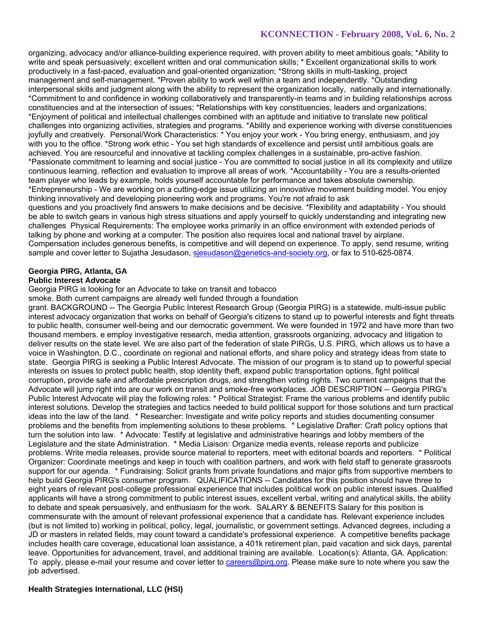organizing, advocacy and/or alliance-building experience required, with proven ability to meet ambitious goals; \*Ability to write and speak persuasively; excellent written and oral communication skills; \* Excellent organizational skills to work productively in a fast-paced, evaluation and goal-oriented organization; \*Strong skills in multi-tasking, project management and self-management. \*Proven ability to work well within a team and independently. \*Outstanding interpersonal skills and judgment along with the ability to represent the organization locally, nationally and internationally. \*Commitment to and confidence in working collaboratively and transparently-in teams and in building relationships across constituencies and at the intersection of issues; \*Relationships with key constituencies, leaders and organizations; \*Enjoyment of political and intellectual challenges combined with an aptitude and initiative to translate new political challenges into organizing activities, strategies and programs. \*Ability and experience working with diverse constituencies joyfully and creatively. Personal/Work Characteristics: \* You enjoy your work - You bring energy, enthusiasm, and joy with you to the office. \*Strong work ethic - You set high standards of excellence and persist until ambitious goals are achieved. You are resourceful and innovative at tackling complex challenges in a sustainable, pro-active fashion. \*Passionate commitment to learning and social justice - You are committed to social justice in all its complexity and utilize continuous learning, reflection and evaluation to improve all areas of work. \*Accountability - You are a results-oriented team player who leads by example, holds yourself accountable for performance and takes absolute ownership. \*Entrepreneurship - We are working on a cutting-edge issue utilizing an innovative movement building model. You enjoy thinking innovatively and developing pioneering work and programs. You're not afraid to ask questions and you proactively find answers to make decisions and be decisive. \*Flexibility and adaptability - You should be able to switch gears in various high stress situations and apply yourself to quickly understanding and integrating new challenges Physical Requirements: The employee works primarily in an office environment with extended periods of talking by phone and working at a computer. The position also requires local and national travel by airplane. Compensation includes generous benefits, is competitive and will depend on experience. To apply, send resume, writing sample and cover letter to Sujatha Jesudason, sjesudason@genetics-and-society.org, or fax to 510-625-0874.

#### **Georgia PIRG, Atlanta, GA Public Interest Advocate**

Georgia PIRG is looking for an Advocate to take on transit and tobacco

smoke. Both current campaigns are already well funded through a foundation

grant. BACKGROUND -- The Georgia Public Interest Research Group (Georgia PIRG) is a statewide, multi-issue public interest advocacy organization that works on behalf of Georgia's citizens to stand up to powerful interests and fight threats to public health, consumer well-being and our democratic government. We were founded in 1972 and have more than two thousand members. e employ investigative research, media attention, grassroots organizing, advocacy and litigation to deliver results on the state level. We are also part of the federation of state PIRGs, U.S. PIRG, which allows us to have a voice in Washington, D.C., coordinate on regional and national efforts, and share policy and strategy ideas from state to state. Georgia PIRG is seeking a Public Interest Advocate. The mission of our program is to stand up to powerful special interests on issues to protect public health, stop identity theft, expand public transportation options, fight political corruption, provide safe and affordable prescription drugs, and strengthen voting rights. Two current campaigns that the Advocate will jump right into are our work on transit and smoke-free workplaces. JOB DESCRIPTION -- Georgia PIRG's Public Interest Advocate will play the following roles: \* Political Strategist: Frame the various problems and identify public interest solutions. Develop the strategies and tactics needed to build political support for those solutions and turn practical ideas into the law of the land. \* Researcher: Investigate and write policy reports and studies documenting consumer problems and the benefits from implementing solutions to these problems. \* Legislative Drafter: Craft policy options that turn the solution into law. \* Advocate: Testify at legislative and administrative hearings and lobby members of the Legislature and the state Administration. \* Media Liaison: Organize media events, release reports and publicize problems. Write media releases, provide source material to reporters, meet with editorial boards and reporters. \* Political Organizer: Coordinate meetings and keep in touch with coalition partners, and work with field staff to generate grassroots support for our agenda. \* Fundraising: Solicit grants from private foundations and major gifts from supportive members to help build Georgia PIRG's consumer program. QUALIFICATIONS -- Candidates for this position should have three to eight years of relevant post-college professional experience that includes political work on public interest issues. Qualified applicants will have a strong commitment to public interest issues, excellent verbal, writing and analytical skills, the ability to debate and speak persuasively, and enthusiasm for the work. SALARY & BENEFITS Salary for this position is commensurate with the amount of relevant professional experience that a candidate has. Relevant experience includes (but is not limited to) working in political, policy, legal, journalistic, or government settings. Advanced degrees, including a JD or masters in related fields, may count toward a candidate's professional experience. A competitive benefits package includes health care coverage, educational loan assistance, a 401k retirement plan, paid vacation and sick days, parental leave. Opportunities for advancement, travel, and additional training are available. Location(s): Atlanta, GA. Application: To apply, please e-mail your resume and cover letter to careers@pirg.org. Please make sure to note where you saw the job advertised.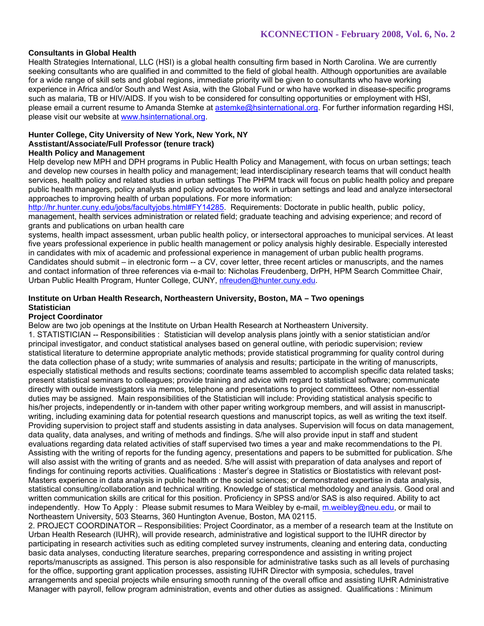### **Consultants in Global Health**

Health Strategies International, LLC (HSI) is a global health consulting firm based in North Carolina. We are currently seeking consultants who are qualified in and committed to the field of global health. Although opportunities are available for a wide range of skill sets and global regions, immediate priority will be given to consultants who have working experience in Africa and/or South and West Asia, with the Global Fund or who have worked in disease-specific programs such as malaria, TB or HIV/AIDS. If you wish to be considered for consulting opportunities or employment with HSI, please email a current resume to Amanda Stemke at astemke@hsinternational.org. For further information regarding HSI, please visit our website at www.hsinternational.org.

#### **Hunter College, City University of New York, New York, NY Asstistant/Associate/Full Professor (tenure track)**

### **Health Policy and Management**

Help develop new MPH and DPH programs in Public Health Policy and Management, with focus on urban settings; teach and develop new courses in health policy and management; lead interdisciplinary research teams that will conduct health services, health policy and related studies in urban settings The PHPM track will focus on public health policy and prepare public health managers, policy analysts and policy advocates to work in urban settings and lead and analyze intersectoral approaches to improving health of urban populations. For more information:

http://hr.hunter.cuny.edu/jobs/facultyjobs.html#FY14285. Requirements: Doctorate in public health, public policy, management, health services administration or related field; graduate teaching and advising experience; and record of grants and publications on urban health care

systems, health impact assessment, urban public health policy, or intersectoral approaches to municipal services. At least five years professional experience in public health management or policy analysis highly desirable. Especially interested in candidates with mix of academic and professional experience in management of urban public health programs. Candidates should submit – in electronic form -- a CV, cover letter, three recent articles or manuscripts, and the names and contact information of three references via e-mail to: Nicholas Freudenberg, DrPH, HPM Search Committee Chair, Urban Public Health Program, Hunter College, CUNY, nfreuden@hunter.cuny.edu.

### **Institute on Urban Health Research, Northeastern University, Boston, MA – Two openings Statistician**

### **Project Coordinator**

Below are two job openings at the Institute on Urban Health Research at Northeastern University.

1. STATISTICIAN -- Responsibilities : Statistician will develop analysis plans jointly with a senior statistician and/or principal investigator, and conduct statistical analyses based on general outline, with periodic supervision; review statistical literature to determine appropriate analytic methods; provide statistical programming for quality control during the data collection phase of a study; write summaries of analysis and results; participate in the writing of manuscripts, especially statistical methods and results sections; coordinate teams assembled to accomplish specific data related tasks; present statistical seminars to colleagues; provide training and advice with regard to statistical software; communicate directly with outside investigators via memos, telephone and presentations to project committees. Other non-essential duties may be assigned. Main responsibilities of the Statistician will include: Providing statistical analysis specific to his/her projects, independently or in-tandem with other paper writing workgroup members, and will assist in manuscriptwriting, including examining data for potential research questions and manuscript topics, as well as writing the text itself. Providing supervision to project staff and students assisting in data analyses. Supervision will focus on data management, data quality, data analyses, and writing of methods and findings. S/he will also provide input in staff and student evaluations regarding data related activities of staff supervised two times a year and make recommendations to the PI. Assisting with the writing of reports for the funding agency, presentations and papers to be submitted for publication. S/he will also assist with the writing of grants and as needed. S/he will assist with preparation of data analyses and report of findings for continuing reports activities. Qualifications : Master's degree in Statistics or Biostatistics with relevant post-Masters experience in data analysis in public health or the social sciences; or demonstrated expertise in data analysis, statistical consulting/collaboration and technical writing. Knowledge of statistical methodology and analysis. Good oral and written communication skills are critical for this position. Proficiency in SPSS and/or SAS is also required. Ability to act independently. How To Apply : Please submit resumes to Mara Weibley by e-mail, m.weibley@neu.edu, or mail to Northeastern University, 503 Stearns, 360 Huntington Avenue, Boston, MA 02115.

2. PROJECT COORDINATOR – Responsibilities: Project Coordinator, as a member of a research team at the Institute on Urban Health Research (IUHR), will provide research, administrative and logistical support to the IUHR director by participating in research activities such as editing completed survey instruments, cleaning and entering data, conducting basic data analyses, conducting literature searches, preparing correspondence and assisting in writing project reports/manuscripts as assigned. This person is also responsible for administrative tasks such as all levels of purchasing for the office, supporting grant application processes, assisting IUHR Director with symposia, schedules, travel arrangements and special projects while ensuring smooth running of the overall office and assisting IUHR Administrative Manager with payroll, fellow program administration, events and other duties as assigned. Qualifications : Minimum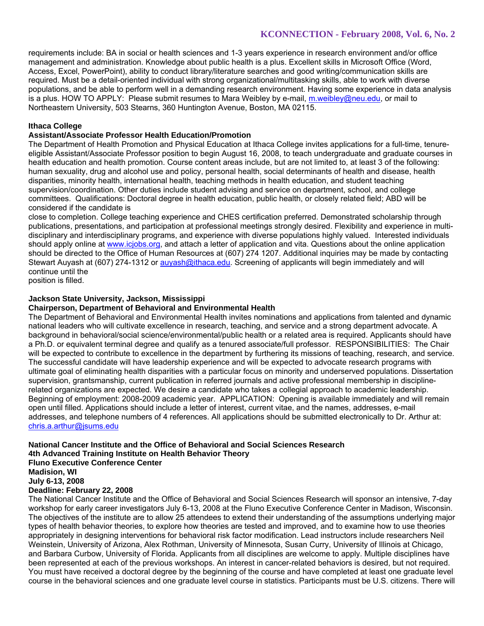requirements include: BA in social or health sciences and 1-3 years experience in research environment and/or office management and administration. Knowledge about public health is a plus. Excellent skills in Microsoft Office (Word, Access, Excel, PowerPoint), ability to conduct library/literature searches and good writing/communication skills are required. Must be a detail-oriented individual with strong organizational/multitasking skills, able to work with diverse populations, and be able to perform well in a demanding research environment. Having some experience in data analysis is a plus. HOW TO APPLY: Please submit resumes to Mara Weibley by e-mail, m.weibley@neu.edu, or mail to Northeastern University, 503 Stearns, 360 Huntington Avenue, Boston, MA 02115.

# **Ithaca College**

### **Assistant/Associate Professor Health Education/Promotion**

The Department of Health Promotion and Physical Education at Ithaca College invites applications for a full-time, tenureeligible Assistant/Associate Professor position to begin August 16, 2008, to teach undergraduate and graduate courses in health education and health promotion. Course content areas include, but are not limited to, at least 3 of the following: human sexuality, drug and alcohol use and policy, personal health, social determinants of health and disease, health disparities, minority health, international health, teaching methods in health education, and student teaching supervision/coordination. Other duties include student advising and service on department, school, and college committees. Qualifications: Doctoral degree in health education, public health, or closely related field; ABD will be considered if the candidate is

close to completion. College teaching experience and CHES certification preferred. Demonstrated scholarship through publications, presentations, and participation at professional meetings strongly desired. Flexibility and experience in multidisciplinary and interdisciplinary programs, and experience with diverse populations highly valued. Interested individuals should apply online at www.icjobs.org, and attach a letter of application and vita. Questions about the online application should be directed to the Office of Human Resources at (607) 274 1207. Additional inquiries may be made by contacting Stewart Auyash at (607) 274-1312 or auyash@ithaca.edu. Screening of applicants will begin immediately and will continue until the

position is filled.

### **Jackson State University, Jackson, Mississippi**

### **Chairperson, Department of Behavioral and Environmental Health**

The Department of Behavioral and Environmental Health invites nominations and applications from talented and dynamic national leaders who will cultivate excellence in research, teaching, and service and a strong department advocate. A background in behavioral/social science/environmental/public health or a related area is required. Applicants should have a Ph.D. or equivalent terminal degree and qualify as a tenured associate/full professor. RESPONSIBILITIES: The Chair will be expected to contribute to excellence in the department by furthering its missions of teaching, research, and service. The successful candidate will have leadership experience and will be expected to advocate research programs with ultimate goal of eliminating health disparities with a particular focus on minority and underserved populations. Dissertation supervision, grantsmanship, current publication in referred journals and active professional membership in disciplinerelated organizations are expected. We desire a candidate who takes a collegial approach to academic leadership. Beginning of employment: 2008-2009 academic year. APPLICATION: Opening is available immediately and will remain open until filled. Applications should include a letter of interest, current vitae, and the names, addresses, e-mail addresses, and telephone numbers of 4 references. All applications should be submitted electronically to Dr. Arthur at: chris.a.arthur@jsums.edu

#### **National Cancer Institute and the Office of Behavioral and Social Sciences Research 4th Advanced Training Institute on Health Behavior Theory Fluno Executive Conference Center Madision, WI**

**July 6-13, 2008** 

# **Deadline: February 22, 2008**

The National Cancer Institute and the Office of Behavioral and Social Sciences Research will sponsor an intensive, 7-day workshop for early career investigators July 6-13, 2008 at the Fluno Executive Conference Center in Madison, Wisconsin. The objectives of the institute are to allow 25 attendees to extend their understanding of the assumptions underlying major types of health behavior theories, to explore how theories are tested and improved, and to examine how to use theories appropriately in designing interventions for behavioral risk factor modification. Lead instructors include researchers Neil Weinstein, University of Arizona, Alex Rothman, University of Minnesota, Susan Curry, University of Illinois at Chicago, and Barbara Curbow, University of Florida. Applicants from all disciplines are welcome to apply. Multiple disciplines have been represented at each of the previous workshops. An interest in cancer-related behaviors is desired, but not required. You must have received a doctoral degree by the beginning of the course and have completed at least one graduate level course in the behavioral sciences and one graduate level course in statistics. Participants must be U.S. citizens. There will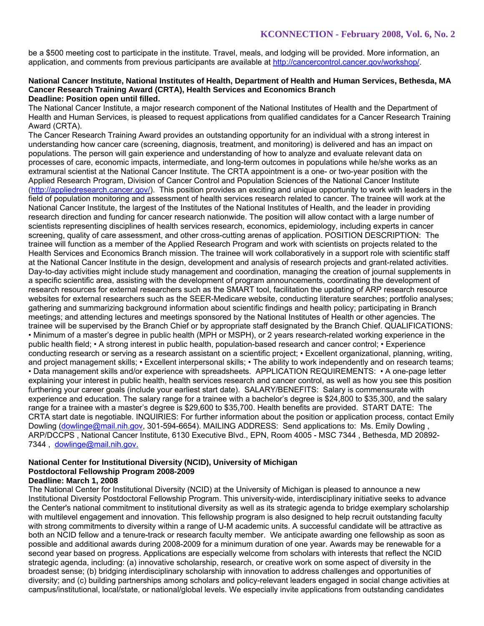be a \$500 meeting cost to participate in the institute. Travel, meals, and lodging will be provided. More information, an application, and comments from previous participants are available at http://cancercontrol.cancer.gov/workshop/.

#### **National Cancer Institute, National Institutes of Health, Department of Health and Human Services, Bethesda, MA Cancer Research Training Award (CRTA), Health Services and Economics Branch Deadline: Position open until filled.**

The National Cancer Institute, a major research component of the National Institutes of Health and the Department of Health and Human Services, is pleased to request applications from qualified candidates for a Cancer Research Training Award (CRTA).

The Cancer Research Training Award provides an outstanding opportunity for an individual with a strong interest in understanding how cancer care (screening, diagnosis, treatment, and monitoring) is delivered and has an impact on populations. The person will gain experience and understanding of how to analyze and evaluate relevant data on processes of care, economic impacts, intermediate, and long-term outcomes in populations while he/she works as an extramural scientist at the National Cancer Institute. The CRTA appointment is a one- or two-year position with the Applied Research Program, Division of Cancer Control and Population Sciences of the National Cancer Institute (http://appliedresearch.cancer.gov/). This position provides an exciting and unique opportunity to work with leaders in the field of population monitoring and assessment of health services research related to cancer. The trainee will work at the National Cancer Institute, the largest of the Institutes of the National Institutes of Health, and the leader in providing research direction and funding for cancer research nationwide. The position will allow contact with a large number of scientists representing disciplines of health services research, economics, epidemiology, including experts in cancer screening, quality of care assessment, and other cross-cutting arenas of application. POSITION DESCRIPTION: The trainee will function as a member of the Applied Research Program and work with scientists on projects related to the Health Services and Economics Branch mission. The trainee will work collaboratively in a support role with scientific staff at the National Cancer Institute in the design, development and analysis of research projects and grant-related activities. Day-to-day activities might include study management and coordination, managing the creation of journal supplements in a specific scientific area, assisting with the development of program announcements, coordinating the development of research resources for external researchers such as the SMART tool, facilitation the updating of ARP research resource websites for external researchers such as the SEER-Medicare website, conducting literature searches; portfolio analyses; gathering and summarizing background information about scientific findings and health policy; participating in Branch meetings; and attending lectures and meetings sponsored by the National Institutes of Health or other agencies. The trainee will be supervised by the Branch Chief or by appropriate staff designated by the Branch Chief. QUALIFICATIONS: • Minimum of a master's degree in public health (MPH or MSPH), or 2 years research-related working experience in the public health field; • A strong interest in public health, population-based research and cancer control; • Experience conducting research or serving as a research assistant on a scientific project; • Excellent organizational, planning, writing, and project management skills; • Excellent interpersonal skills; • The ability to work independently and on research teams; • Data management skills and/or experience with spreadsheets. APPLICATION REQUIREMENTS: • A one-page letter explaining your interest in public health, health services research and cancer control, as well as how you see this position furthering your career goals (include your earliest start date). SALARY/BENEFITS: Salary is commensurate with experience and education. The salary range for a trainee with a bachelor's degree is \$24,800 to \$35,300, and the salary range for a trainee with a master's degree is \$29,600 to \$35,700. Health benefits are provided. START DATE: The CRTA start date is negotiable. INQUIRIES: For further information about the position or application process, contact Emily Dowling (dowlinge@mail.nih.gov, 301-594-6654). MAILING ADDRESS: Send applications to: Ms. Emily Dowling, ARP/DCCPS , National Cancer Institute, 6130 Executive Blvd., EPN, Room 4005 - MSC 7344 , Bethesda, MD 20892- 7344 , dowlinge@mail.nih.gov.

#### **National Center for Institutional Diversity (NCID), University of Michigan Postdoctoral Fellowship Program 2008-2009 Deadline: March 1, 2008**

The National Center for Institutional Diversity (NCID) at the University of Michigan is pleased to announce a new Institutional Diversity Postdoctoral Fellowship Program. This university-wide, interdisciplinary initiative seeks to advance the Center's national commitment to institutional diversity as well as its strategic agenda to bridge exemplary scholarship with multilevel engagement and innovation. This fellowship program is also designed to help recruit outstanding faculty with strong commitments to diversity within a range of U-M academic units. A successful candidate will be attractive as both an NCID fellow and a tenure-track or research faculty member. We anticipate awarding one fellowship as soon as possible and additional awards during 2008-2009 for a minimum duration of one year. Awards may be renewable for a second year based on progress. Applications are especially welcome from scholars with interests that reflect the NCID strategic agenda, including: (a) innovative scholarship, research, or creative work on some aspect of diversity in the broadest sense; (b) bridging interdisciplinary scholarship with innovation to address challenges and opportunities of diversity; and (c) building partnerships among scholars and policy-relevant leaders engaged in social change activities at campus/institutional, local/state, or national/global levels. We especially invite applications from outstanding candidates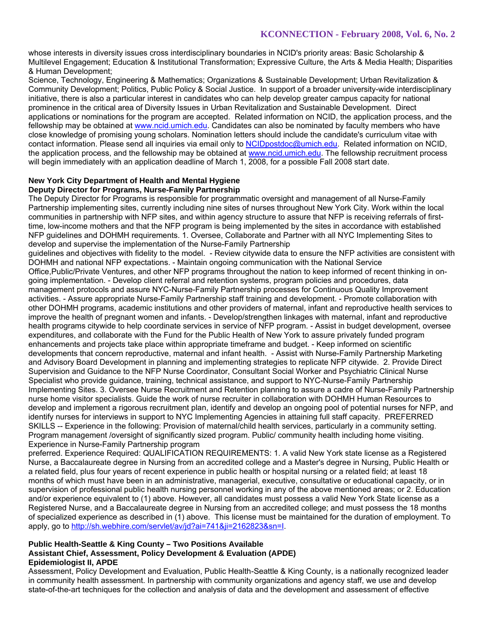whose interests in diversity issues cross interdisciplinary boundaries in NCID's priority areas: Basic Scholarship & Multilevel Engagement; Education & Institutional Transformation; Expressive Culture, the Arts & Media Health; Disparities & Human Development;

Science, Technology, Engineering & Mathematics; Organizations & Sustainable Development; Urban Revitalization & Community Development; Politics, Public Policy & Social Justice. In support of a broader university-wide interdisciplinary initiative, there is also a particular interest in candidates who can help develop greater campus capacity for national prominence in the critical area of Diversity Issues in Urban Revitalization and Sustainable Development. Direct applications or nominations for the program are accepted. Related information on NCID, the application process, and the fellowship may be obtained at www.ncid.umich.edu. Candidates can also be nominated by faculty members who have close knowledge of promising young scholars. Nomination letters should include the candidate's curriculum vitae with contact information. Please send all inquiries via email only to NCIDpostdoc@umich.edu. Related information on NCID, the application process, and the fellowship may be obtained at www.ncid.umich.edu. The fellowship recruitment process will begin immediately with an application deadline of March 1, 2008, for a possible Fall 2008 start date.

#### **New York City Department of Health and Mental Hygiene Deputy Director for Programs, Nurse-Family Partnership**

The Deputy Director for Programs is responsible for programmatic oversight and management of all Nurse-Family Partnership implementing sites, currently including nine sites of nurses throughout New York City. Work within the local communities in partnership with NFP sites, and within agency structure to assure that NFP is receiving referrals of firsttime, low-income mothers and that the NFP program is being implemented by the sites in accordance with established NFP guidelines and DOHMH requirements. 1. Oversee, Collaborate and Partner with all NYC Implementing Sites to develop and supervise the implementation of the Nurse-Family Partnership

guidelines and objectives with fidelity to the model. - Review citywide data to ensure the NFP activities are consistent with DOHMH and national NFP expectations. - Maintain ongoing communication with the National Service Office,Public/Private Ventures, and other NFP programs throughout the nation to keep informed of recent thinking in ongoing implementation. - Develop client referral and retention systems, program policies and procedures, data management protocols and assure NYC-Nurse-Family Partnership processes for Continuous Quality Improvement activities. - Assure appropriate Nurse-Family Partnership staff training and development. - Promote collaboration with other DOHMH programs, academic institutions and other providers of maternal, infant and reproductive health services to improve the health of pregnant women and infants. - Develop/strengthen linkages with maternal, infant and reproductive health programs citywide to help coordinate services in service of NFP program. - Assist in budget development, oversee expenditures, and collaborate with the Fund for the Public Health of New York to assure privately funded program enhancements and projects take place within appropriate timeframe and budget. - Keep informed on scientific developments that concern reproductive, maternal and infant health. - Assist with Nurse-Family Partnership Marketing and Advisory Board Development in planning and implementing strategies to replicate NFP citywide. 2. Provide Direct Supervision and Guidance to the NFP Nurse Coordinator, Consultant Social Worker and Psychiatric Clinical Nurse Specialist who provide guidance, training, technical assistance, and support to NYC-Nurse-Family Partnership Implementing Sites. 3. Oversee Nurse Recruitment and Retention planning to assure a cadre of Nurse-Family Partnership nurse home visitor specialists. Guide the work of nurse recruiter in collaboration with DOHMH Human Resources to develop and implement a rigorous recruitment plan, identify and develop an ongoing pool of potential nurses for NFP, and identify nurses for interviews in support to NYC Implementing Agencies in attaining full staff capacity. PREFERRED SKILLS -- Experience in the following: Provision of maternal/child health services, particularly in a community setting. Program management /oversight of significantly sized program. Public/ community health including home visiting. Experience in Nurse-Family Partnership program

preferred. Experience Required: QUALIFICATION REQUIREMENTS: 1. A valid New York state license as a Registered Nurse, a Baccalaureate degree in Nursing from an accredited college and a Master's degree in Nursing, Public Health or a related field, plus four years of recent experience in public health or hospital nursing or a related field; at least 18 months of which must have been in an administrative, managerial, executive, consultative or educational capacity, or in supervision of professional public health nursing personnel working in any of the above mentioned areas; or 2. Education and/or experience equivalent to (1) above. However, all candidates must possess a valid New York State license as a Registered Nurse, and a Baccalaureate degree in Nursing from an accredited college; and must possess the 18 months of specialized experience as described in (1) above. This license must be maintained for the duration of employment. To apply, go to http://sh.webhire.com/servlet/av/jd?ai=741&ji=2162823&sn=I.

#### **Public Health-Seattle & King County – Two Positions Available Assistant Chief, Assessment, Policy Development & Evaluation (APDE) Epidemiologist II, APDE**

Assessment, Policy Development and Evaluation, Public Health-Seattle & King County, is a nationally recognized leader in community health assessment. In partnership with community organizations and agency staff, we use and develop state-of-the-art techniques for the collection and analysis of data and the development and assessment of effective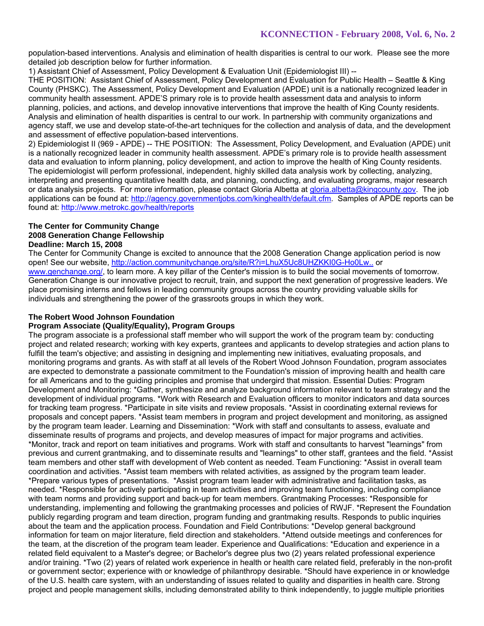population-based interventions. Analysis and elimination of health disparities is central to our work. Please see the more detailed job description below for further information.

1) Assistant Chief of Assessment, Policy Development & Evaluation Unit (Epidemiologist III) --

THE POSITION: Assistant Chief of Assessment, Policy Development and Evaluation for Public Health – Seattle & King County (PHSKC). The Assessment, Policy Development and Evaluation (APDE) unit is a nationally recognized leader in community health assessment. APDE'S primary role is to provide health assessment data and analysis to inform planning, policies, and actions, and develop innovative interventions that improve the health of King County residents. Analysis and elimination of health disparities is central to our work. In partnership with community organizations and agency staff, we use and develop state-of-the-art techniques for the collection and analysis of data, and the development and assessment of effective population-based interventions.

2) Epidemiologist II (969 - APDE) -- THE POSITION: The Assessment, Policy Development, and Evaluation (APDE) unit is a nationally recognized leader in community health assessment. APDE's primary role is to provide health assessment data and evaluation to inform planning, policy development, and action to improve the health of King County residents. The epidemiologist will perform professional, independent, highly skilled data analysis work by collecting, analyzing, interpreting and presenting quantitative health data, and planning, conducting, and evaluating programs, major research or data analysis projects. For more information, please contact Gloria Albetta at gloria.albetta@kingcounty.gov. The job applications can be found at: http://agency.governmentjobs.com/kinghealth/default.cfm. Samples of APDE reports can be found at: http://www.metrokc.gov/health/reports

### **The Center for Community Change 2008 Generation Change Fellowship Deadline: March 15, 2008**

The Center for Community Change is excited to announce that the 2008 Generation Change application period is now open! See our website, http://action.communitychange.org/site/R?i=LhuX5Uc8UHZKKI0G-Ho0Lw.. or www.genchange.org/, to learn more. A key pillar of the Center's mission is to build the social movements of tomorrow. Generation Change is our innovative project to recruit, train, and support the next generation of progressive leaders. We place promising interns and fellows in leading community groups across the country providing valuable skills for individuals and strengthening the power of the grassroots groups in which they work.

# **The Robert Wood Johnson Foundation**

### **Program Associate (Quality/Equality), Program Groups**

The program associate is a professional staff member who will support the work of the program team by: conducting project and related research; working with key experts, grantees and applicants to develop strategies and action plans to fulfill the team's objective; and assisting in designing and implementing new initiatives, evaluating proposals, and monitoring programs and grants. As with staff at all levels of the Robert Wood Johnson Foundation, program associates are expected to demonstrate a passionate commitment to the Foundation's mission of improving health and health care for all Americans and to the guiding principles and promise that undergird that mission. Essential Duties: Program Development and Monitoring: \*Gather, synthesize and analyze background information relevant to team strategy and the development of individual programs. \*Work with Research and Evaluation officers to monitor indicators and data sources for tracking team progress. \*Participate in site visits and review proposals. \*Assist in coordinating external reviews for proposals and concept papers. \*Assist team members in program and project development and monitoring, as assigned by the program team leader. Learning and Dissemination: \*Work with staff and consultants to assess, evaluate and disseminate results of programs and projects, and develop measures of impact for major programs and activities. \*Monitor, track and report on team initiatives and programs. Work with staff and consultants to harvest "learnings" from previous and current grantmaking, and to disseminate results and "learnings" to other staff, grantees and the field. \*Assist team members and other staff with development of Web content as needed. Team Functioning: \*Assist in overall team coordination and activities. \*Assist team members with related activities, as assigned by the program team leader. \*Prepare various types of presentations. \*Assist program team leader with administrative and facilitation tasks, as needed. \*Responsible for actively participating in team activities and improving team functioning, including compliance with team norms and providing support and back-up for team members. Grantmaking Processes: \*Responsible for understanding, implementing and following the grantmaking processes and policies of RWJF. \*Represent the Foundation publicly regarding program and team direction, program funding and grantmaking results. Responds to public inquiries about the team and the application process. Foundation and Field Contributions: \*Develop general background information for team on major literature, field direction and stakeholders. \*Attend outside meetings and conferences for the team, at the discretion of the program team leader. Experience and Qualifications: \*Education and experience in a related field equivalent to a Master's degree; or Bachelor's degree plus two (2) years related professional experience and/or training. \*Two (2) years of related work experience in health or health care related field, preferably in the non-profit or government sector; experience with or knowledge of philanthropy desirable. \*Should have experience in or knowledge of the U.S. health care system, with an understanding of issues related to quality and disparities in health care. Strong project and people management skills, including demonstrated ability to think independently, to juggle multiple priorities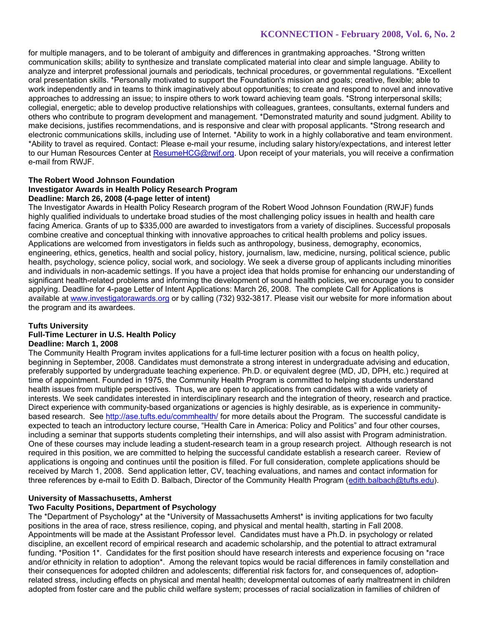for multiple managers, and to be tolerant of ambiguity and differences in grantmaking approaches. \*Strong written communication skills; ability to synthesize and translate complicated material into clear and simple language. Ability to analyze and interpret professional journals and periodicals, technical procedures, or governmental regulations. \*Excellent oral presentation skills. \*Personally motivated to support the Foundation's mission and goals; creative, flexible; able to work independently and in teams to think imaginatively about opportunities; to create and respond to novel and innovative approaches to addressing an issue; to inspire others to work toward achieving team goals. \*Strong interpersonal skills; collegial, energetic; able to develop productive relationships with colleagues, grantees, consultants, external funders and others who contribute to program development and management. \*Demonstrated maturity and sound judgment. Ability to make decisions, justifies recommendations, and is responsive and clear with proposal applicants. \*Strong research and electronic communications skills, including use of Internet. \*Ability to work in a highly collaborative and team environment. \*Ability to travel as required. Contact: Please e-mail your resume, including salary history/expectations, and interest letter to our Human Resources Center at ResumeHCG@rwjf.org. Upon receipt of your materials, you will receive a confirmation e-mail from RWJF.

#### **The Robert Wood Johnson Foundation Investigator Awards in Health Policy Research Program Deadline: March 26, 2008 (4-page letter of intent)**

The Investigator Awards in Health Policy Research program of the Robert Wood Johnson Foundation (RWJF) funds highly qualified individuals to undertake broad studies of the most challenging policy issues in health and health care facing America. Grants of up to \$335,000 are awarded to investigators from a variety of disciplines. Successful proposals combine creative and conceptual thinking with innovative approaches to critical health problems and policy issues. Applications are welcomed from investigators in fields such as anthropology, business, demography, economics, engineering, ethics, genetics, health and social policy, history, journalism, law, medicine, nursing, political science, public health, psychology, science policy, social work, and sociology. We seek a diverse group of applicants including minorities and individuals in non-academic settings. If you have a project idea that holds promise for enhancing our understanding of significant health-related problems and informing the development of sound health policies, we encourage you to consider applying. Deadline for 4-page Letter of Intent Applications: March 26, 2008. The complete Call for Applications is available at www.investigatorawards.org or by calling (732) 932-3817. Please visit our website for more information about the program and its awardees.

### **Tufts University**

# **Full-Time Lecturer in U.S. Health Policy**

### **Deadline: March 1, 2008**

The Community Health Program invites applications for a full-time lecturer position with a focus on health policy, beginning in September, 2008. Candidates must demonstrate a strong interest in undergraduate advising and education, preferably supported by undergraduate teaching experience. Ph.D. or equivalent degree (MD, JD, DPH, etc.) required at time of appointment. Founded in 1975, the Community Health Program is committed to helping students understand health issues from multiple perspectives. Thus, we are open to applications from candidates with a wide variety of interests. We seek candidates interested in interdisciplinary research and the integration of theory, research and practice. Direct experience with community-based organizations or agencies is highly desirable, as is experience in communitybased research. See http://ase.tufts.edu/commhealth/ for more details about the Program. The successful candidate is expected to teach an introductory lecture course, "Health Care in America: Policy and Politics" and four other courses, including a seminar that supports students completing their internships, and will also assist with Program administration. One of these courses may include leading a student-research team in a group research project. Although research is not required in this position, we are committed to helping the successful candidate establish a research career. Review of applications is ongoing and continues until the position is filled. For full consideration, complete applications should be received by March 1, 2008. Send application letter, CV, teaching evaluations, and names and contact information for three references by e-mail to Edith D. Balbach, Director of the Community Health Program (edith.balbach@tufts.edu).

### **University of Massachusetts, Amherst**

### **Two Faculty Positions, Department of Psychology**

The \*Department of Psychology\* at the \*University of Massachusetts Amherst\* is inviting applications for two faculty positions in the area of race, stress resilience, coping, and physical and mental health, starting in Fall 2008. Appointments will be made at the Assistant Professor level. Candidates must have a Ph.D. in psychology or related discipline, an excellent record of empirical research and academic scholarship, and the potential to attract extramural funding. \*Position 1\*. Candidates for the first position should have research interests and experience focusing on \*race and/or ethnicity in relation to adoption\*. Among the relevant topics would be racial differences in family constellation and their consequences for adopted children and adolescents; differential risk factors for, and consequences of, adoptionrelated stress, including effects on physical and mental health; developmental outcomes of early maltreatment in children adopted from foster care and the public child welfare system; processes of racial socialization in families of children of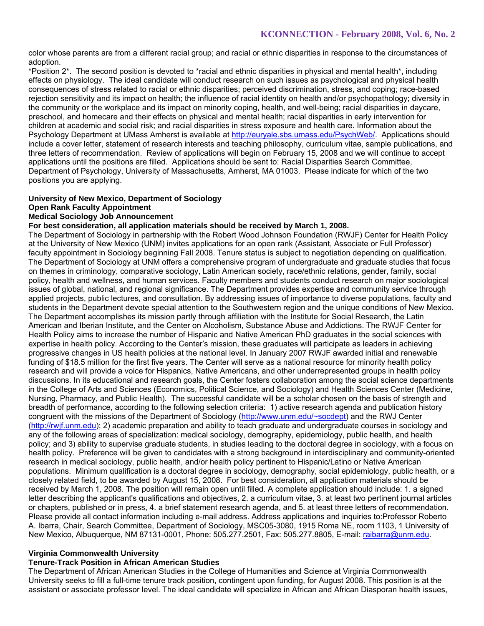color whose parents are from a different racial group; and racial or ethnic disparities in response to the circumstances of adoption.

\*Position 2\*. The second position is devoted to \*racial and ethnic disparities in physical and mental health\*, including effects on physiology. The ideal candidate will conduct research on such issues as psychological and physical health consequences of stress related to racial or ethnic disparities; perceived discrimination, stress, and coping; race-based rejection sensitivity and its impact on health; the influence of racial identity on health and/or psychopathology; diversity in the community or the workplace and its impact on minority coping, health, and well-being; racial disparities in daycare, preschool, and homecare and their effects on physical and mental health; racial disparities in early intervention for children at academic and social risk; and racial disparities in stress exposure and health care. Information about the Psychology Department at UMass Amherst is available at http://euryale.sbs.umass.edu/PsychWeb/. Applications should include a cover letter, statement of research interests and teaching philosophy, curriculum vitae, sample publications, and three letters of recommendation. Review of applications will begin on February 15, 2008 and we will continue to accept applications until the positions are filled. Applications should be sent to: Racial Disparities Search Committee, Department of Psychology, University of Massachusetts, Amherst, MA 01003. Please indicate for which of the two positions you are applying.

# **University of New Mexico, Department of Sociology Open Rank Faculty Appointment**

# **Medical Sociology Job Announcement**

### **For best consideration, all application materials should be received by March 1, 2008.**

The Department of Sociology in partnership with the Robert Wood Johnson Foundation (RWJF) Center for Health Policy at the University of New Mexico (UNM) invites applications for an open rank (Assistant, Associate or Full Professor) faculty appointment in Sociology beginning Fall 2008. Tenure status is subject to negotiation depending on qualification. The Department of Sociology at UNM offers a comprehensive program of undergraduate and graduate studies that focus on themes in criminology, comparative sociology, Latin American society, race/ethnic relations, gender, family, social policy, health and wellness, and human services. Faculty members and students conduct research on major sociological issues of global, national, and regional significance. The Department provides expertise and community service through applied projects, public lectures, and consultation. By addressing issues of importance to diverse populations, faculty and students in the Department devote special attention to the Southwestern region and the unique conditions of New Mexico. The Department accomplishes its mission partly through affiliation with the Institute for Social Research, the Latin American and Iberian Institute, and the Center on Alcoholism, Substance Abuse and Addictions. The RWJF Center for Health Policy aims to increase the number of Hispanic and Native American PhD graduates in the social sciences with expertise in health policy. According to the Center's mission, these graduates will participate as leaders in achieving progressive changes in US health policies at the national level. In January 2007 RWJF awarded initial and renewable funding of \$18.5 million for the first five years. The Center will serve as a national resource for minority health policy research and will provide a voice for Hispanics, Native Americans, and other underrepresented groups in health policy discussions. In its educational and research goals, the Center fosters collaboration among the social science departments in the College of Arts and Sciences (Economics, Political Science, and Sociology) and Health Sciences Center (Medicine, Nursing, Pharmacy, and Public Health). The successful candidate will be a scholar chosen on the basis of strength and breadth of performance, according to the following selection criteria: 1) active research agenda and publication history congruent with the missions of the Department of Sociology (http://www.unm.edu/~socdept) and the RWJ Center (http://rwjf.unm.edu); 2) academic preparation and ability to teach graduate and undergraduate courses in sociology and any of the following areas of specialization: medical sociology, demography, epidemiology, public health, and health policy; and 3) ability to supervise graduate students, in studies leading to the doctoral degree in sociology, with a focus on health policy. Preference will be given to candidates with a strong background in interdisciplinary and community-oriented research in medical sociology, public health, and/or health policy pertinent to Hispanic/Latino or Native American populations. Minimum qualification is a doctoral degree in sociology, demography, social epidemiology, public health, or a closely related field, to be awarded by August 15, 2008. For best consideration, all application materials should be received by March 1, 2008. The position will remain open until filled. A complete application should include: 1. a signed letter describing the applicant's qualifications and objectives, 2. a curriculum vitae, 3. at least two pertinent journal articles or chapters, published or in press, 4. a brief statement research agenda, and 5. at least three letters of recommendation. Please provide all contact information including e-mail address. Address applications and inquiries to:Professor Roberto A. Ibarra, Chair, Search Committee, Department of Sociology, MSC05-3080, 1915 Roma NE, room 1103, 1 University of New Mexico, Albuquerque, NM 87131-0001, Phone: 505.277.2501, Fax: 505.277.8805, E-mail: raibarra@unm.edu.

### **Virginia Commonwealth University**

# **Tenure-Track Position in African American Studies**

The Department of African American Studies in the College of Humanities and Science at Virginia Commonwealth University seeks to fill a full-time tenure track position, contingent upon funding, for August 2008. This position is at the assistant or associate professor level. The ideal candidate will specialize in African and African Diasporan health issues,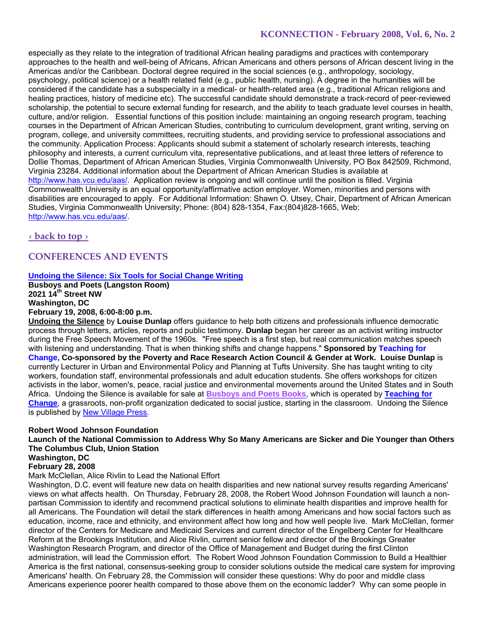especially as they relate to the integration of traditional African healing paradigms and practices with contemporary approaches to the health and well-being of Africans, African Americans and others persons of African descent living in the Americas and/or the Caribbean. Doctoral degree required in the social sciences (e.g., anthropology, sociology, psychology, political science) or a health related field (e.g., public health, nursing). A degree in the humanities will be considered if the candidate has a subspecialty in a medical- or health-related area (e.g., traditional African religions and healing practices, history of medicine etc). The successful candidate should demonstrate a track-record of peer-reviewed scholarship, the potential to secure external funding for research, and the ability to teach graduate level courses in health, culture, and/or religion. Essential functions of this position include: maintaining an ongoing research program, teaching courses in the Department of African American Studies, contributing to curriculum development, grant writing, serving on program, college, and university committees, recruiting students, and providing service to professional associations and the community. Application Process: Applicants should submit a statement of scholarly research interests, teaching philosophy and interests, a current curriculum vita, representative publications, and at least three letters of reference to Dollie Thomas, Department of African American Studies, Virginia Commonwealth University, PO Box 842509, Richmond, Virginia 23284. Additional information about the Department of African American Studies is available at http://www.has.vcu.edu/aas/. Application review is ongoing and will continue until the position is filled. Virginia Commonwealth University is an equal opportunity/affirmative action employer. Women, minorities and persons with disabilities are encouraged to apply. For Additional Information: Shawn O. Utsey, Chair, Department of African American Studies, Virginia Commonwealth University; Phone: (804) 828-1354, Fax:(804)828-1665, Web: http://www.has.vcu.edu/aas/.

# **‹ back to top ›**

# **CONFERENCES AND EVENTS**

### **Undoing the Silence: Six Tools for Social Change Writing**

**Busboys and Poets (Langston Room) 2021 14th Street NW Washington, DC February 19, 2008, 6:00-8:00 p.m.** 

**Undoing the Silence** by **Louise Dunlap** offers guidance to help both citizens and professionals influence democratic process through letters, articles, reports and public testimony. **Dunlap** began her career as an activist writing instructor during the Free Speech Movement of the 1960s. "Free speech is a first step, but real communication matches speech with listening and understanding. That is when thinking shifts and change happens." **Sponsored by Teaching for Change, Co-sponsored by the Poverty and Race Research Action Council & Gender at Work. Louise Dunlap** is currently Lecturer in Urban and Environmental Policy and Planning at Tufts University. She has taught writing to city workers, foundation staff, environmental professionals and adult education students. She offers workshops for citizen activists in the labor, women's, peace, racial justice and environmental movements around the United States and in South Africa. Undoing the Silence is available for sale at **Busboys and Poets Books**, which is operated by **Teaching for Change**, a grassroots, non-profit organization dedicated to social justice, starting in the classroom. Undoing the Silence is published by New Village Press.

### **Robert Wood Johnson Foundation**

**Launch of the National Commission to Address Why So Many Americans are Sicker and Die Younger than Others The Columbus Club, Union Station** 

# **Washington, DC**

**February 28, 2008** 

### Mark McClellan, Alice Rivlin to Lead the National Effort

Washington, D.C. event will feature new data on health disparities and new national survey results regarding Americans' views on what affects health. On Thursday, February 28, 2008, the Robert Wood Johnson Foundation will launch a nonpartisan Commission to identify and recommend practical solutions to eliminate health disparities and improve health for all Americans. The Foundation will detail the stark differences in health among Americans and how social factors such as education, income, race and ethnicity, and environment affect how long and how well people live. Mark McClellan, former director of the Centers for Medicare and Medicaid Services and current director of the Engelberg Center for Healthcare Reform at the Brookings Institution, and Alice Rivlin, current senior fellow and director of the Brookings Greater Washington Research Program, and director of the Office of Management and Budget during the first Clinton administration, will lead the Commission effort. The Robert Wood Johnson Foundation Commission to Build a Healthier America is the first national, consensus-seeking group to consider solutions outside the medical care system for improving Americans' health. On February 28, the Commission will consider these questions: Why do poor and middle class Americans experience poorer health compared to those above them on the economic ladder? Why can some people in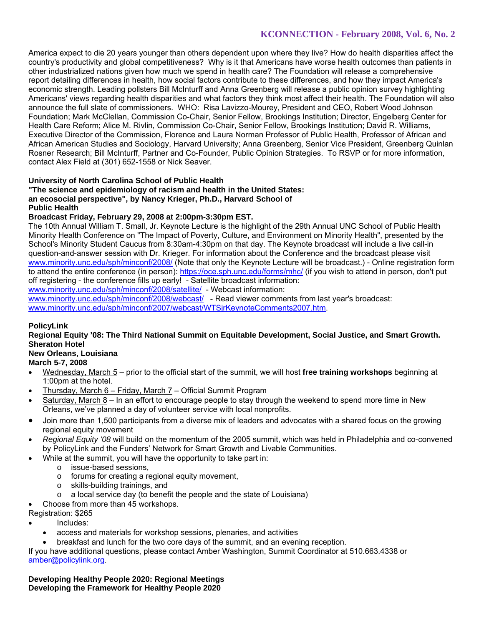America expect to die 20 years younger than others dependent upon where they live? How do health disparities affect the country's productivity and global competitiveness? Why is it that Americans have worse health outcomes than patients in other industrialized nations given how much we spend in health care? The Foundation will release a comprehensive report detailing differences in health, how social factors contribute to these differences, and how they impact America's economic strength. Leading pollsters Bill McInturff and Anna Greenberg will release a public opinion survey highlighting Americans' views regarding health disparities and what factors they think most affect their health. The Foundation will also announce the full slate of commissioners. WHO: Risa Lavizzo-Mourey, President and CEO, Robert Wood Johnson Foundation; Mark McClellan, Commission Co-Chair, Senior Fellow, Brookings Institution; Director, Engelberg Center for Health Care Reform; Alice M. Rivlin, Commission Co-Chair, Senior Fellow, Brookings Institution; David R. Williams, Executive Director of the Commission, Florence and Laura Norman Professor of Public Health, Professor of African and African American Studies and Sociology, Harvard University; Anna Greenberg, Senior Vice President, Greenberg Quinlan Rosner Research; Bill McInturff, Partner and Co-Founder, Public Opinion Strategies. To RSVP or for more information, contact Alex Field at (301) 652-1558 or Nick Seaver.

### **University of North Carolina School of Public Health**

### **"The science and epidemiology of racism and health in the United States: an ecosocial perspective", by Nancy Krieger, Ph.D., Harvard School of Public Health**

### **Broadcast Friday, February 29, 2008 at 2:00pm-3:30pm EST.**

The 10th Annual William T. Small, Jr. Keynote Lecture is the highlight of the 29th Annual UNC School of Public Health Minority Health Conference on "The Impact of Poverty, Culture, and Environment on Minority Health", presented by the School's Minority Student Caucus from 8:30am-4:30pm on that day. The Keynote broadcast will include a live call-in question-and-answer session with Dr. Krieger. For information about the Conference and the broadcast please visit www.minority.unc.edu/sph/minconf/2008/ (Note that only the Keynote Lecture will be broadcast.) - Online registration form to attend the entire conference (in person): https://oce.sph.unc.edu/forms/mhc/ (if you wish to attend in person, don't put off registering - the conference fills up early! - Satellite broadcast information:

www.minority.unc.edu/sph/minconf/2008/satellite/ - Webcast information:

www.minority.unc.edu/sph/minconf/2008/webcast/ - Read viewer comments from last year's broadcast: www.minority.unc.edu/sph/minconf/2007/webcast/WTSjrKeynoteComments2007.htm.

# **PolicyLink**

### **Regional Equity '08: The Third National Summit on Equitable Development, Social Justice, and Smart Growth. Sheraton Hotel**

# **New Orleans, Louisiana**

**March 5-7, 2008** 

- Wednesday, March 5 prior to the official start of the summit, we will host **free training workshops** beginning at 1:00pm at the hotel.
- Thursday, March 6 Friday, March 7 Official Summit Program
- Saturday, March 8 In an effort to encourage people to stay through the weekend to spend more time in New Orleans, we've planned a day of volunteer service with local nonprofits.
- Join more than 1,500 participants from a diverse mix of leaders and advocates with a shared focus on the growing regional equity movement
- *Regional Equity '08* will build on the momentum of the 2005 summit, which was held in Philadelphia and co-convened by PolicyLink and the Funders' Network for Smart Growth and Livable Communities.
- While at the summit, you will have the opportunity to take part in:
	- o issue-based sessions,
	- o forums for creating a regional equity movement,
	- o skills-building trainings, and
	- $\circ$  a local service day (to benefit the people and the state of Louisiana)
	- Choose from more than 45 workshops.

Registration: \$265

- Includes:
	- access and materials for workshop sessions, plenaries, and activities
	- breakfast and lunch for the two core days of the summit, and an evening reception.

If you have additional questions, please contact Amber Washington, Summit Coordinator at 510.663.4338 or amber@policylink.org.

**Developing Healthy People 2020: Regional Meetings Developing the Framework for Healthy People 2020**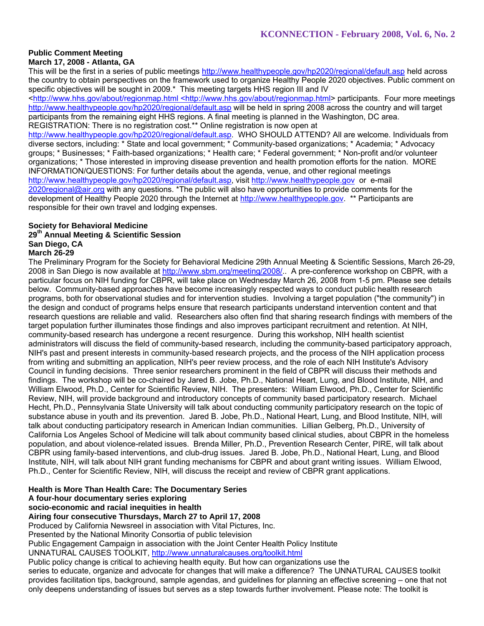#### **Public Comment Meeting March 17, 2008 - Atlanta, GA**

This will be the first in a series of public meetings http://www.healthypeople.gov/hp2020/regional/default.asp held across the country to obtain perspectives on the framework used to organize Healthy People 2020 objectives. Public comment on specific objectives will be sought in 2009.<sup>\*</sup> This meeting targets HHS region III and IV

<http://www.hhs.gov/about/regionmap.html <http://www.hhs.gov/about/regionmap.html> participants. Four more meetings http://www.healthypeople.gov/hp2020/regional/default.asp will be held in spring 2008 across the country and will target participants from the remaining eight HHS regions. A final meeting is planned in the Washington, DC area. REGISTRATION: There is no registration cost.\*\* Online registration is now open at

http://www.healthypeople.gov/hp2020/regional/default.asp. WHO SHOULD ATTEND? All are welcome. Individuals from diverse sectors, including: \* State and local government; \* Community-based organizations; \* Academia; \* Advocacy groups; \* Businesses; \* Faith-based organizations; \* Health care; \* Federal government; \* Non-profit and/or volunteer organizations; \* Those interested in improving disease prevention and health promotion efforts for the nation. MORE INFORMATION/QUESTIONS: For further details about the agenda, venue, and other regional meetings http://www.healthypeople.gov/hp2020/regional/default.asp, visit http://www.healthypeople.gov or e-mail 2020regional@air.org with any questions. \*The public will also have opportunities to provide comments for the development of Healthy People 2020 through the Internet at http://www.healthypeople.gov. \*\* Participants are responsible for their own travel and lodging expenses.

#### **Society for Behavioral Medicine 29th Annual Meeting & Scientific Session San Diego, CA March 26-29**

The Preliminary Program for the Society for Behavioral Medicine 29th Annual Meeting & Scientific Sessions, March 26-29, 2008 in San Diego is now available at http://www.sbm.org/meeting/2008/.. A pre-conference workshop on CBPR, with a particular focus on NIH funding for CBPR, will take place on Wednesday March 26, 2008 from 1-5 pm. Please see details below. Community-based approaches have become increasingly respected ways to conduct public health research programs, both for observational studies and for intervention studies. Involving a target population ("the community") in the design and conduct of programs helps ensure that research participants understand intervention content and that research questions are reliable and valid. Researchers also often find that sharing research findings with members of the target population further illuminates those findings and also improves participant recruitment and retention. At NIH, community-based research has undergone a recent resurgence. During this workshop, NIH health scientist administrators will discuss the field of community-based research, including the community-based participatory approach, NIH's past and present interests in community-based research projects, and the process of the NIH application process from writing and submitting an application, NIH's peer review process, and the role of each NIH Institute's Advisory Council in funding decisions. Three senior researchers prominent in the field of CBPR will discuss their methods and findings. The workshop will be co-chaired by Jared B. Jobe, Ph.D., National Heart, Lung, and Blood Institute, NIH, and William Elwood, Ph.D., Center for Scientific Review, NIH. The presenters: William Elwood, Ph.D., Center for Scientific Review, NIH, will provide background and introductory concepts of community based participatory research. Michael Hecht, Ph.D., Pennsylvania State University will talk about conducting community participatory research on the topic of substance abuse in youth and its prevention. Jared B. Jobe, Ph.D., National Heart, Lung, and Blood Institute, NIH, will talk about conducting participatory research in American Indian communities. Lillian Gelberg, Ph.D., University of California Los Angeles School of Medicine will talk about community based clinical studies, about CBPR in the homeless population, and about violence-related issues. Brenda Miller, Ph.D., Prevention Research Center, PIRE, will talk about CBPR using family-based interventions, and club-drug issues. Jared B. Jobe, Ph.D., National Heart, Lung, and Blood Institute, NIH, will talk about NIH grant funding mechanisms for CBPR and about grant writing issues. William Elwood, Ph.D., Center for Scientific Review, NIH, will discuss the receipt and review of CBPR grant applications.

### **Health is More Than Health Care: The Documentary Series**

### **A four-hour documentary series exploring**

**socio-economic and racial inequities in health** 

### **Airing four consecutive Thursdays, March 27 to April 17, 2008**

Produced by California Newsreel in association with Vital Pictures, Inc.

Presented by the National Minority Consortia of public television

Public Engagement Campaign in association with the Joint Center Health Policy Institute

UNNATURAL CAUSES TOOLKIT, http://www.unnaturalcauses.org/toolkit.html

Public policy change is critical to achieving health equity. But how can organizations use the

series to educate, organize and advocate for changes that will make a difference? The UNNATURAL CAUSES toolkit provides facilitation tips, background, sample agendas, and guidelines for planning an effective screening – one that not only deepens understanding of issues but serves as a step towards further involvement. Please note: The toolkit is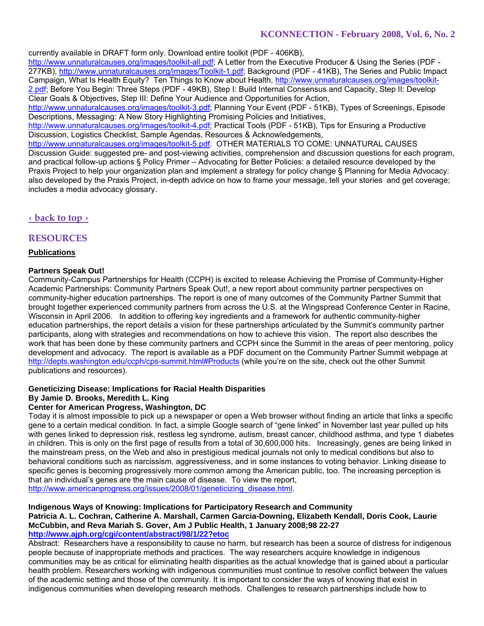currently available in DRAFT form only. Download entire toolkit (PDF - 406KB),

http://www.unnaturalcauses.org/images/toolkit-all.pdf; A Letter from the Executive Producer & Using the Series (PDF - 277KB), http://www.unnaturalcauses.org/images/Toolkit-1.pdf; Background (PDF - 41KB), The Series and Public Impact Campaign, What Is Health Equity? Ten Things to Know about Health, http://www.unnaturalcauses.org/images/toolkit-2.pdf; Before You Begin: Three Steps (PDF - 49KB), Step I: Build Internal Consensus and Capacity, Step II: Develop Clear Goals & Objectives, Step III: Define Your Audience and Opportunities for Action,

http://www.unnaturalcauses.org/images/toolkit-3.pdf; Planning Your Event (PDF - 51KB), Types of Screenings, Episode Descriptions, Messaging: A New Story Highlighting Promising Policies and Initiatives,

http://www.unnaturalcauses.org/images/toolkit-4.pdf; Practical Tools (PDF - 51KB), Tips for Ensuring a Productive Discussion, Logistics Checklist, Sample Agendas, Resources & Acknowledgements,

http://www.unnaturalcauses.org/images/toolkit-5.pdf. OTHER MATERIALS TO COME: UNNATURAL CAUSES Discussion Guide: suggested pre- and post-viewing activities, comprehension and discussion questions for each program, and practical follow-up actions § Policy Primer – Advocating for Better Policies: a detailed resource developed by the Praxis Project to help your organization plan and implement a strategy for policy change § Planning for Media Advocacy: also developed by the Praxis Project, in-depth advice on how to frame your message, tell your stories and get coverage; includes a media advocacy glossary.

# **‹ back to top ›**

# **RESOURCES**

### **Publications**

### **Partners Speak Out!**

Community-Campus Partnerships for Health (CCPH) is excited to release Achieving the Promise of Community-Higher Academic Partnerships: Community Partners Speak Out!, a new report about community partner perspectives on community-higher education partnerships. The report is one of many outcomes of the Community Partner Summit that brought together experienced community partners from across the U.S. at the Wingspread Conference Center in Racine, Wisconsin in April 2006. In addition to offering key ingredients and a framework for authentic community-higher education partnerships, the report details a vision for these partnerships articulated by the Summit's community partner participants, along with strategies and recommendations on how to achieve this vision. The report also describes the work that has been done by these community partners and CCPH since the Summit in the areas of peer mentoring, policy development and advocacy. The report is available as a PDF document on the Community Partner Summit webpage at http://depts.washington.edu/ccph/cps-summit.html#Products (while you're on the site, check out the other Summit publications and resources).

### **Geneticizing Disease: Implications for Racial Health Disparities**

### **By Jamie D. Brooks, Meredith L. King**

### **Center for American Progress, Washington, DC**

Today it is almost impossible to pick up a newspaper or open a Web browser without finding an article that links a specific gene to a certain medical condition. In fact, a simple Google search of "gene linked" in November last year pulled up hits with genes linked to depression risk, restless leg syndrome, autism, breast cancer, childhood asthma, and type 1 diabetes in children. This is only on the first page of results from a total of 30,600,000 hits. Increasingly, genes are being linked in the mainstream press, on the Web and also in prestigious medical journals not only to medical conditions but also to behavioral conditions such as narcissism, aggressiveness, and in some instances to voting behavior. Linking disease to specific genes is becoming progressively more common among the American public, too. The increasing perception is that an individual's genes are the main cause of disease. To view the report,

http://www.americanprogress.org/issues/2008/01/geneticizing\_disease.html.

#### **Indigenous Ways of Knowing: Implications for Participatory Research and Community Patricia A. L. Cochran, Catherine A. Marshall, Carmen Garcia-Downing, Elizabeth Kendall, Doris Cook, Laurie McCubbin, and Reva Mariah S. Gover, Am J Public Health, 1 January 2008;98 22-27 http://www.ajph.org/cgi/content/abstract/98/1/22?etoc**

Abstract: Researchers have a responsibility to cause no harm, but research has been a source of distress for indigenous people because of inappropriate methods and practices. The way researchers acquire knowledge in indigenous communities may be as critical for eliminating health disparities as the actual knowledge that is gained about a particular health problem. Researchers working with indigenous communities must continue to resolve conflict between the values of the academic setting and those of the community. It is important to consider the ways of knowing that exist in indigenous communities when developing research methods. Challenges to research partnerships include how to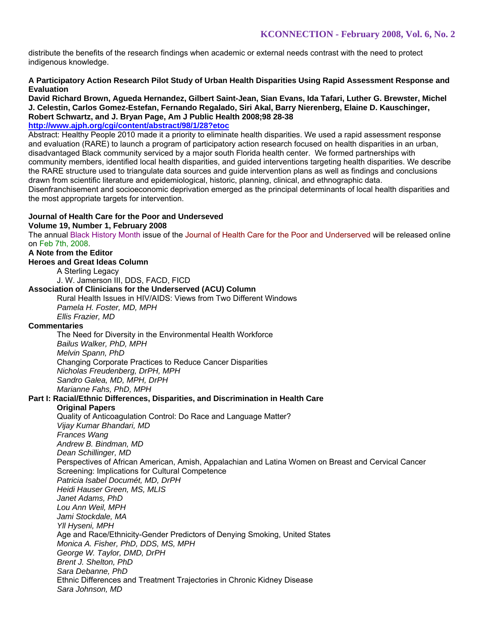distribute the benefits of the research findings when academic or external needs contrast with the need to protect indigenous knowledge.

### **A Participatory Action Research Pilot Study of Urban Health Disparities Using Rapid Assessment Response and Evaluation**

**David Richard Brown, Agueda Hernandez, Gilbert Saint-Jean, Sian Evans, Ida Tafari, Luther G. Brewster, Michel J. Celestin, Carlos Gomez-Estefan, Fernando Regalado, Siri Akal, Barry Nierenberg, Elaine D. Kauschinger, Robert Schwartz, and J. Bryan Page, Am J Public Health 2008;98 28-38** 

# **http://www.ajph.org/cgi/content/abstract/98/1/28?etoc**

Abstract: Healthy People 2010 made it a priority to eliminate health disparities. We used a rapid assessment response and evaluation (RARE) to launch a program of participatory action research focused on health disparities in an urban, disadvantaged Black community serviced by a major south Florida health center. We formed partnerships with community members, identified local health disparities, and guided interventions targeting health disparities. We describe the RARE structure used to triangulate data sources and guide intervention plans as well as findings and conclusions drawn from scientific literature and epidemiological, historic, planning, clinical, and ethnographic data. Disenfranchisement and socioeconomic deprivation emerged as the principal determinants of local health disparities and the most appropriate targets for intervention.

### **Journal of Health Care for the Poor and Underseved**

**Volume 19, Number 1, February 2008** 

The annual Black History Month issue of the Journal of Health Care for the Poor and Underserved will be released online on Feb 7th, 2008.

### **A Note from the Editor**

**Heroes and Great Ideas Column**

A Sterling Legacy

J. W. Jamerson III, DDS, FACD, FICD

#### **Association of Clinicians for the Underserved (ACU) Column**

Rural Health Issues in HIV/AIDS: Views from Two Different Windows *Pamela H. Foster, MD, MPH*

*Ellis Frazier, MD*

### **Commentaries**

The Need for Diversity in the Environmental Health Workforce *Bailus Walker, PhD, MPH Melvin Spann, PhD* Changing Corporate Practices to Reduce Cancer Disparities *Nicholas Freudenberg, DrPH, MPH Sandro Galea, MD, MPH, DrPH Marianne Fahs, PhD, MPH*

### **Part I: Racial/Ethnic Differences, Disparities, and Discrimination in Health Care**

#### **Original Papers**

Quality of Anticoagulation Control: Do Race and Language Matter? *Vijay Kumar Bhandari, MD Frances Wang Andrew B. Bindman, MD Dean Schillinger, MD* Perspectives of African American, Amish, Appalachian and Latina Women on Breast and Cervical Cancer Screening: Implications for Cultural Competence *Patricia Isabel Documét, MD, DrPH Heidi Hauser Green, MS, MLIS Janet Adams, PhD Lou Ann Weil, MPH Jami Stockdale, MA Yll Hyseni, MPH* Age and Race/Ethnicity-Gender Predictors of Denying Smoking, United States *Monica A. Fisher, PhD, DDS, MS, MPH George W. Taylor, DMD, DrPH Brent J. Shelton, PhD Sara Debanne, PhD* Ethnic Differences and Treatment Trajectories in Chronic Kidney Disease *Sara Johnson, MD*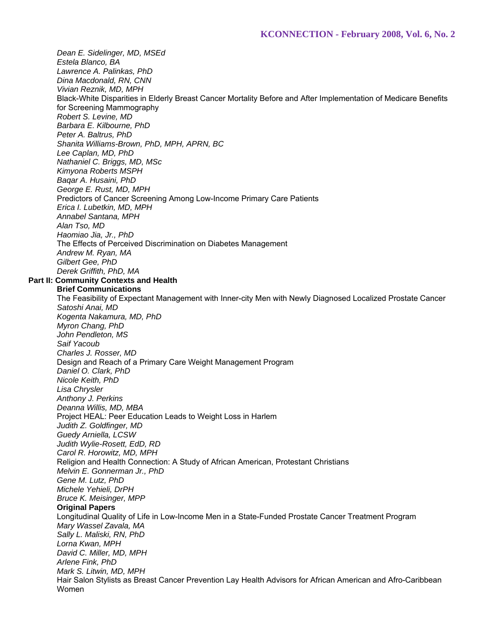*Dean E. Sidelinger, MD, MSEd Estela Blanco, BA Lawrence A. Palinkas, PhD Dina Macdonald, RN, CNN Vivian Reznik, MD, MPH* Black-White Disparities in Elderly Breast Cancer Mortality Before and After Implementation of Medicare Benefits for Screening Mammography *Robert S. Levine, MD Barbara E. Kilbourne, PhD Peter A. Baltrus, PhD Shanita Williams-Brown, PhD, MPH, APRN, BC Lee Caplan, MD, PhD Nathaniel C. Briggs, MD, MSc Kimyona Roberts MSPH Baqar A. Husaini, PhD George E. Rust, MD, MPH* Predictors of Cancer Screening Among Low-Income Primary Care Patients *Erica I. Lubetkin, MD, MPH Annabel Santana, MPH Alan Tso, MD Haomiao Jia, Jr., PhD* The Effects of Perceived Discrimination on Diabetes Management *Andrew M. Ryan, MA Gilbert Gee, PhD Derek Griffith, PhD, MA* **Part II: Community Contexts and Health Brief Communications** The Feasibility of Expectant Management with Inner-city Men with Newly Diagnosed Localized Prostate Cancer *Satoshi Anai, MD Kogenta Nakamura, MD, PhD Myron Chang, PhD John Pendleton, MS Saif Yacoub Charles J. Rosser, MD* Design and Reach of a Primary Care Weight Management Program *Daniel O. Clark, PhD Nicole Keith, PhD Lisa Chrysler Anthony J. Perkins Deanna Willis, MD, MBA* Project HEAL: Peer Education Leads to Weight Loss in Harlem *Judith Z. Goldfinger, MD Guedy Arniella, LCSW Judith Wylie-Rosett, EdD, RD Carol R. Horowitz, MD, MPH* Religion and Health Connection: A Study of African American, Protestant Christians *Melvin E. Gonnerman Jr., PhD Gene M. Lutz, PhD Michele Yehieli, DrPH Bruce K. Meisinger, MPP* **Original Papers** Longitudinal Quality of Life in Low-Income Men in a State-Funded Prostate Cancer Treatment Program *Mary Wassel Zavala, MA Sally L. Maliski, RN, PhD Lorna Kwan, MPH David C. Miller, MD, MPH Arlene Fink, PhD Mark S. Litwin, MD, MPH* Hair Salon Stylists as Breast Cancer Prevention Lay Health Advisors for African American and Afro-Caribbean Women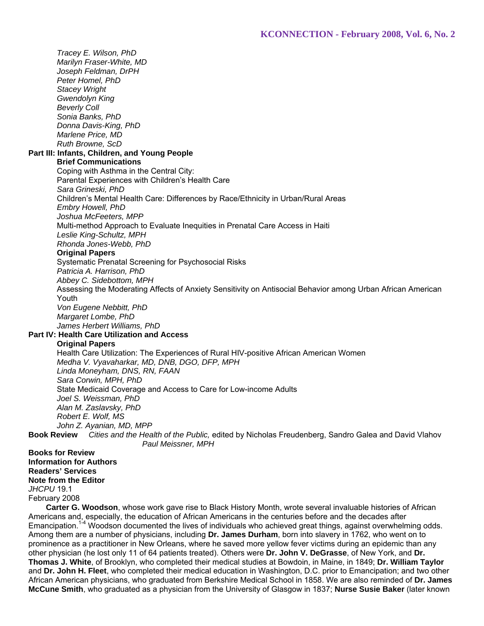*Tracey E. Wilson, PhD Marilyn Fraser-White, MD Joseph Feldman, DrPH Peter Homel, PhD Stacey Wright Gwendolyn King Beverly Coll Sonia Banks, PhD Donna Davis-King, PhD Marlene Price, MD Ruth Browne, ScD* **Part III: Infants, Children, and Young People Brief Communications** Coping with Asthma in the Central City: Parental Experiences with Children's Health Care *Sara Grineski, PhD* Children's Mental Health Care: Differences by Race/Ethnicity in Urban/Rural Areas *Embry Howell, PhD Joshua McFeeters, MPP* Multi-method Approach to Evaluate Inequities in Prenatal Care Access in Haiti *Leslie King-Schultz, MPH Rhonda Jones-Webb, PhD* **Original Papers** Systematic Prenatal Screening for Psychosocial Risks *Patricia A. Harrison, PhD Abbey C. Sidebottom, MPH* Assessing the Moderating Affects of Anxiety Sensitivity on Antisocial Behavior among Urban African American Youth *Von Eugene Nebbitt, PhD Margaret Lombe, PhD James Herbert Williams, PhD* **Part IV: Health Care Utilization and Access Original Papers** Health Care Utilization: The Experiences of Rural HIV-positive African American Women *Medha V. Vyavaharkar, MD, DNB, DGO, DFP, MPH Linda Moneyham, DNS, RN, FAAN Sara Corwin, MPH, PhD* State Medicaid Coverage and Access to Care for Low-income Adults *Joel S. Weissman, PhD Alan M. Zaslavsky, PhD Robert E. Wolf, MS John Z. Ayanian, MD, MPP* **Book Review** *Cities and the Health of the Public,* edited by Nicholas Freudenberg, Sandro Galea and David Vlahov *Paul Meissner, MPH* **Books for Review**

**Information for Authors Readers' Services Note from the Editor** *JHCPU* 19.1 February 2008

 **Carter G. Woodson**, whose work gave rise to Black History Month, wrote several invaluable histories of African Americans and, especially, the education of African Americans in the centuries before and the decades after Emancipation.<sup>14</sup> Woodson documented the lives of individuals who achieved great things, against overwhelming odds. Among them are a number of physicians, including **Dr. James Durham**, born into slavery in 1762, who went on to prominence as a practitioner in New Orleans, where he saved more yellow fever victims during an epidemic than any other physician (he lost only 11 of 64 patients treated). Others were **Dr. John V. DeGrasse**, of New York, and **Dr. Thomas J. White**, of Brooklyn, who completed their medical studies at Bowdoin, in Maine, in 1849; **Dr. William Taylor** and **Dr. John H. Fleet**, who completed their medical education in Washington, D.C. prior to Emancipation; and two other African American physicians, who graduated from Berkshire Medical School in 1858. We are also reminded of **Dr. James McCune Smith**, who graduated as a physician from the University of Glasgow in 1837; **Nurse Susie Baker** (later known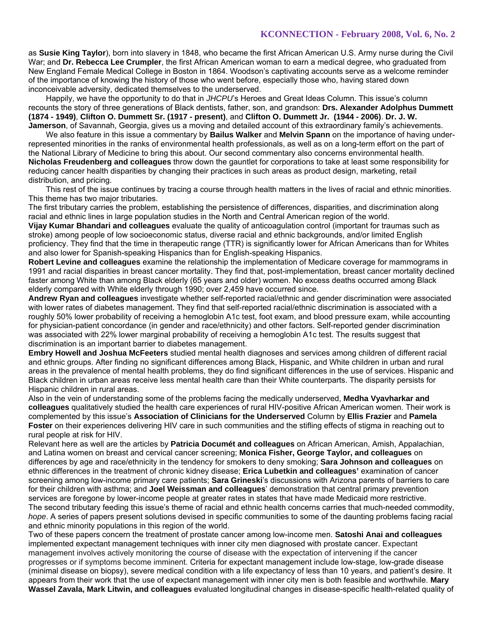as **Susie King Taylor**), born into slavery in 1848, who became the first African American U.S. Army nurse during the Civil War; and **Dr. Rebecca Lee Crumpler**, the first African American woman to earn a medical degree, who graduated from New England Female Medical College in Boston in 1864. Woodson's captivating accounts serve as a welcome reminder of the importance of knowing the history of those who went before, especially those who, having stared down inconceivable adversity, dedicated themselves to the underserved.

 Happily, we have the opportunity to do that in *JHCPU*'s Heroes and Great Ideas Column. This issue's column recounts the story of three generations of Black dentists, father, son, and grandson: **Drs. Alexander Adolphus Dummett (1874 - 1949)**, **Clifton O. Dummett Sr. (1917 - present)**, and **Clifton O. Dummett Jr. (1944 - 2006)**. **Dr. J. W. Jamerson**, of Savannah, Georgia, gives us a moving and detailed account of this extraordinary family's achievements.

 We also feature in this issue a commentary by **Bailus Walker** and **Melvin Spann** on the importance of having underrepresented minorities in the ranks of environmental health professionals, as well as on a long-term effort on the part of the National Library of Medicine to bring this about. Our second commentary also concerns environmental health. **Nicholas Freudenberg and colleagues** throw down the gauntlet for corporations to take at least some responsibility for reducing cancer health disparities by changing their practices in such areas as product design, marketing, retail distribution, and pricing.

 This rest of the issue continues by tracing a course through health matters in the lives of racial and ethnic minorities. This theme has two major tributaries.

The first tributary carries the problem, establishing the persistence of differences, disparities, and discrimination along racial and ethnic lines in large population studies in the North and Central American region of the world.

**Vijay Kumar Bhandari and colleagues** evaluate the quality of anticoagulation control (important for traumas such as stroke) among people of low socioeconomic status, diverse racial and ethnic backgrounds, and/or limited English proficiency. They find that the time in therapeutic range (TTR) is significantly lower for African Americans than for Whites and also lower for Spanish-speaking Hispanics than for English-speaking Hispanics.

**Robert Levine and colleagues** examine the relationship the implementation of Medicare coverage for mammograms in 1991 and racial disparities in breast cancer mortality. They find that, post-implementation, breast cancer mortality declined faster among White than among Black elderly (65 years and older) women. No excess deaths occurred among Black elderly compared with White elderly through 1990; over 2,459 have occurred since.

**Andrew Ryan and colleagues** investigate whether self-reported racial/ethnic and gender discrimination were associated with lower rates of diabetes management. They find that self-reported racial/ethnic discrimination is associated with a roughly 50% lower probability of receiving a hemoglobin A1c test, foot exam, and blood pressure exam, while accounting for physician-patient concordance (in gender and race/ethnicity) and other factors. Self-reported gender discrimination was associated with 22% lower marginal probability of receiving a hemoglobin A1c test. The results suggest that discrimination is an important barrier to diabetes management.

**Embry Howell and Joshua McFeeters** studied mental health diagnoses and services among children of different racial and ethnic groups. After finding no significant differences among Black, Hispanic, and White children in urban and rural areas in the prevalence of mental health problems, they do find significant differences in the use of services. Hispanic and Black children in urban areas receive less mental health care than their White counterparts. The disparity persists for Hispanic children in rural areas.

Also in the vein of understanding some of the problems facing the medically underserved, **Medha Vyavharkar and colleagues** qualitatively studied the health care experiences of rural HIV-positive African American women. Their work is complemented by this issue's **Association of Clinicians for the Underserved** Column by **Ellis Frazier** and **Pamela Foster** on their experiences delivering HIV care in such communities and the stifling effects of stigma in reaching out to rural people at risk for HIV.

Relevant here as well are the articles by **Patricia Documét and colleagues** on African American, Amish, Appalachian, and Latina women on breast and cervical cancer screening; **Monica Fisher, George Taylor, and colleagues** on differences by age and race/ethnicity in the tendency for smokers to deny smoking; **Sara Johnson and colleagues** on ethnic differences in the treatment of chronic kidney disease; **Erica Lubetkin and colleagues'** examination of cancer screening among low-income primary care patients; **Sara Grineski**'s discussions with Arizona parents of barriers to care for their children with asthma; and **Joel Weissman and colleagues**' demonstration that central primary prevention services are foregone by lower-income people at greater rates in states that have made Medicaid more restrictive. The second tributary feeding this issue's theme of racial and ethnic health concerns carries that much-needed commodity, *hope*. A series of papers present solutions devised in specific communities to some of the daunting problems facing racial and ethnic minority populations in this region of the world.

Two of these papers concern the treatment of prostate cancer among low-income men. **Satoshi Anai and colleagues** implemented expectant management techniques with inner city men diagnosed with prostate cancer. Expectant management involves actively monitoring the course of disease with the expectation of intervening if the cancer progresses or if symptoms become imminent. Criteria for expectant management include low-stage, low-grade disease (minimal disease on biopsy), severe medical condition with a life expectancy of less than 10 years, and patient's desire. It appears from their work that the use of expectant management with inner city men is both feasible and worthwhile. **Mary Wassel Zavala, Mark Litwin, and colleagues** evaluated longitudinal changes in disease-specific health-related quality of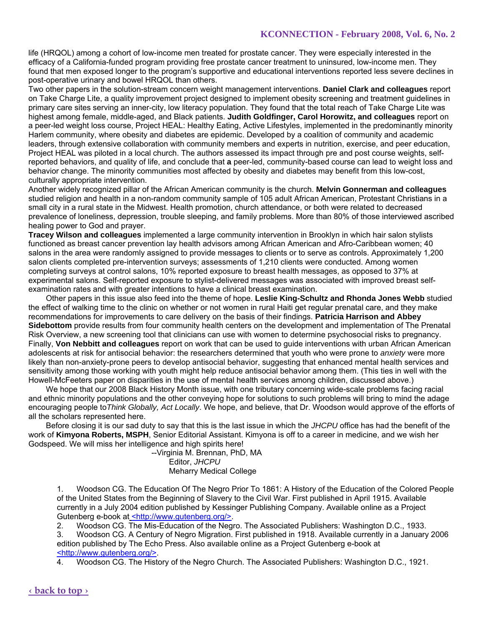life (HRQOL) among a cohort of low-income men treated for prostate cancer. They were especially interested in the efficacy of a California-funded program providing free prostate cancer treatment to uninsured, low-income men. They found that men exposed longer to the program's supportive and educational interventions reported less severe declines in post-operative urinary and bowel HRQOL than others.

Two other papers in the solution-stream concern weight management interventions. **Daniel Clark and colleagues** report on Take Charge Lite, a quality improvement project designed to implement obesity screening and treatment guidelines in primary care sites serving an inner-city, low literacy population. They found that the total reach of Take Charge Lite was highest among female, middle-aged, and Black patients. **Judith Goldfinger, Carol Horowitz, and colleagues** report on a peer-led weight loss course, Project HEAL: Healthy Eating, Active Lifestyles, implemented in the predominantly minority Harlem community, where obesity and diabetes are epidemic. Developed by a coalition of community and academic leaders, through extensive collaboration with community members and experts in nutrition, exercise, and peer education, Project HEAL was piloted in a local church. The authors assessed its impact through pre and post course weights, selfreported behaviors, and quality of life, and conclude that **a** peer-led, community-based course can lead to weight loss and behavior change. The minority communities most affected by obesity and diabetes may benefit from this low-cost, culturally appropriate intervention.

Another widely recognized pillar of the African American community is the church. **Melvin Gonnerman and colleagues** studied religion and health in a non-random community sample of 105 adult African American, Protestant Christians in a small city in a rural state in the Midwest. Health promotion, church attendance, or both were related to decreased prevalence of loneliness, depression, trouble sleeping, and family problems. More than 80% of those interviewed ascribed healing power to God and prayer.

**Tracey Wilson and colleagues** implemented a large community intervention in Brooklyn in which hair salon stylists functioned as breast cancer prevention lay health advisors among African American and Afro-Caribbean women; 40 salons in the area were randomly assigned to provide messages to clients or to serve as controls. Approximately 1,200 salon clients completed pre-intervention surveys; assessments of 1,210 clients were conducted. Among women completing surveys at control salons, 10% reported exposure to breast health messages, as opposed to 37% at experimental salons. Self-reported exposure to stylist-delivered messages was associated with improved breast selfexamination rates and with greater intentions to have a clinical breast examination.

 Other papers in this issue also feed into the theme of hope. **Leslie King-Schultz and Rhonda Jones Webb** studied the effect of walking time to the clinic on whether or not women in rural Haiti get regular prenatal care, and they make recommendations for improvements to care delivery on the basis of their findings. **Patricia Harrison and Abbey Sidebottom** provide results from four community health centers on the development and implementation of The Prenatal Risk Overview, a new screening tool that clinicians can use with women to determine psychosocial risks to pregnancy. Finally, **Von Nebbitt and colleagues** report on work that can be used to guide interventions with urban African American adolescents at risk for antisocial behavior: the researchers determined that youth who were prone to *anxiety* were more likely than non-anxiety-prone peers to develop antisocial behavior, suggesting that enhanced mental health services and sensitivity among those working with youth might help reduce antisocial behavior among them. (This ties in well with the Howell-McFeeters paper on disparities in the use of mental health services among children, discussed above.)

 We hope that our 2008 Black History Month issue, with one tributary concerning wide-scale problems facing racial and ethnic minority populations and the other conveying hope for solutions to such problems will bring to mind the adage encouraging people to*Think Globally, Act Locally*. We hope, and believe, that Dr. Woodson would approve of the efforts of all the scholars represented here.

 Before closing it is our sad duty to say that this is the last issue in which the *JHCPU* office has had the benefit of the work of **Kimyona Roberts, MSPH**, Senior Editorial Assistant. Kimyona is off to a career in medicine, and we wish her Godspeed. We will miss her intelligence and high spirits here!

 --Virginia M. Brennan, PhD, MA Editor, *JHCPU* Meharry Medical College

1. Woodson CG. The Education Of The Negro Prior To 1861: A History of the Education of the Colored People of the United States from the Beginning of Slavery to the Civil War. First published in April 1915. Available currently in a July 2004 edition published by Kessinger Publishing Company. Available online as a Project Gutenberg e-book at <http://www.gutenberg.org/>.

2. Woodson CG. The Mis-Education of the Negro. The Associated Publishers: Washington D.C., 1933.

3. Woodson CG. A Century of Negro Migration. First published in 1918. Available currently in a January 2006 edition published by The Echo Press. Also available online as a Project Gutenberg e-book at <http://www.gutenberg.org/>.

4. Woodson CG. The History of the Negro Church. The Associated Publishers: Washington D.C., 1921.